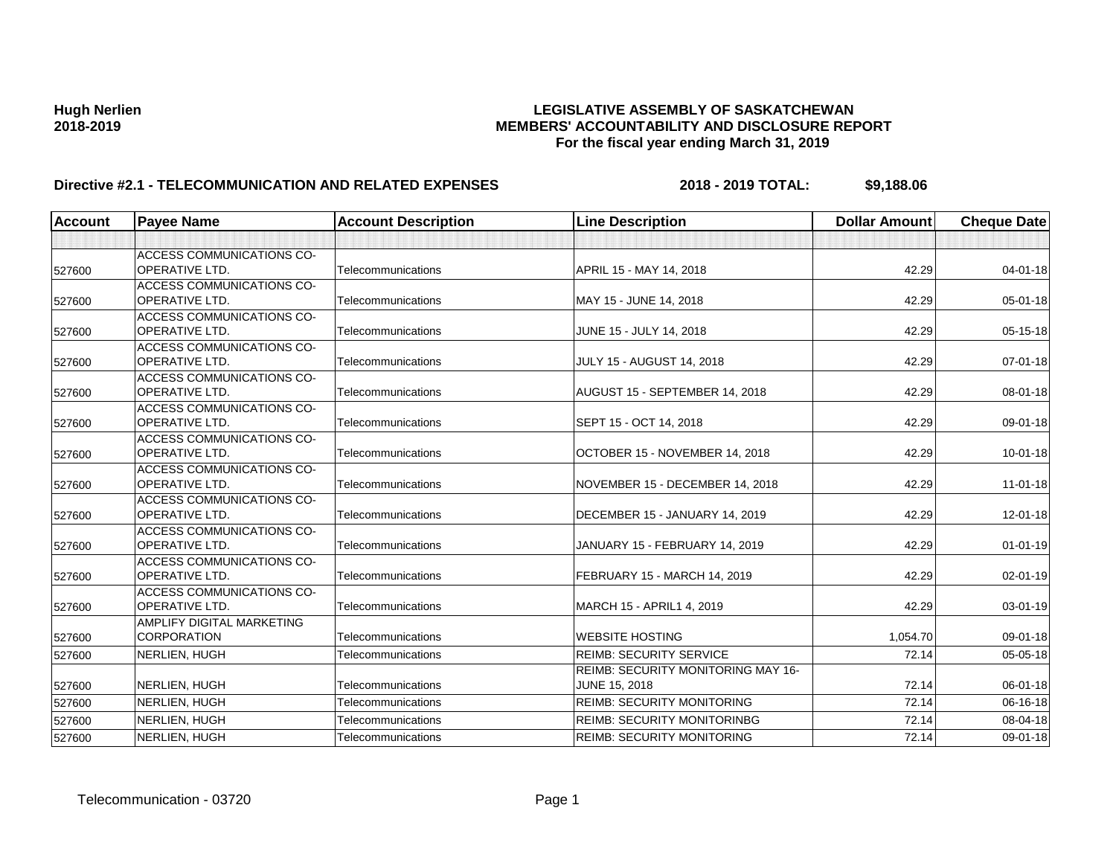| <b>Account</b> | <b>Payee Name</b>                | <b>Account Description</b> | <b>Line Description</b>                   | <b>Dollar Amount</b> | <b>Cheque Date</b> |
|----------------|----------------------------------|----------------------------|-------------------------------------------|----------------------|--------------------|
|                |                                  |                            |                                           |                      |                    |
|                | <b>ACCESS COMMUNICATIONS CO-</b> |                            |                                           |                      |                    |
| 527600         | <b>OPERATIVE LTD.</b>            | Telecommunications         | APRIL 15 - MAY 14, 2018                   | 42.29                | $04 - 01 - 18$     |
|                | <b>ACCESS COMMUNICATIONS CO-</b> |                            |                                           |                      |                    |
| 527600         | <b>OPERATIVE LTD.</b>            | Telecommunications         | MAY 15 - JUNE 14, 2018                    | 42.29                | $05 - 01 - 18$     |
|                | <b>ACCESS COMMUNICATIONS CO-</b> |                            |                                           |                      |                    |
| 527600         | <b>OPERATIVE LTD.</b>            | Telecommunications         | JUNE 15 - JULY 14, 2018                   | 42.29                | $05 - 15 - 18$     |
|                | ACCESS COMMUNICATIONS CO-        |                            |                                           |                      |                    |
| 527600         | <b>OPERATIVE LTD.</b>            | Telecommunications         | <b>JULY 15 - AUGUST 14, 2018</b>          | 42.29                | $07 - 01 - 18$     |
|                | <b>ACCESS COMMUNICATIONS CO-</b> |                            |                                           |                      |                    |
| 527600         | <b>OPERATIVE LTD.</b>            | Telecommunications         | AUGUST 15 - SEPTEMBER 14, 2018            | 42.29                | $08 - 01 - 18$     |
|                | <b>ACCESS COMMUNICATIONS CO-</b> |                            |                                           |                      |                    |
| 527600         | <b>OPERATIVE LTD.</b>            | Telecommunications         | SEPT 15 - OCT 14, 2018                    | 42.29                | 09-01-18           |
|                | ACCESS COMMUNICATIONS CO-        |                            |                                           |                      |                    |
| 527600         | <b>OPERATIVE LTD.</b>            | Telecommunications         | OCTOBER 15 - NOVEMBER 14, 2018            | 42.29                | $10 - 01 - 18$     |
|                | <b>ACCESS COMMUNICATIONS CO-</b> |                            |                                           |                      |                    |
| 527600         | OPERATIVE LTD.                   | Telecommunications         | NOVEMBER 15 - DECEMBER 14, 2018           | 42.29                | $11-01-18$         |
|                | <b>ACCESS COMMUNICATIONS CO-</b> |                            |                                           |                      |                    |
| 527600         | <b>OPERATIVE LTD.</b>            | Telecommunications         | DECEMBER 15 - JANUARY 14, 2019            | 42.29                | $12 - 01 - 18$     |
|                | <b>ACCESS COMMUNICATIONS CO-</b> |                            |                                           |                      |                    |
| 527600         | OPERATIVE LTD.                   | Telecommunications         | JANUARY 15 - FEBRUARY 14, 2019            | 42.29                | $01 - 01 - 19$     |
|                | <b>ACCESS COMMUNICATIONS CO-</b> |                            |                                           |                      |                    |
| 527600         | OPERATIVE LTD.                   | Telecommunications         | FEBRUARY 15 - MARCH 14, 2019              | 42.29                | $02 - 01 - 19$     |
|                | <b>ACCESS COMMUNICATIONS CO-</b> |                            |                                           |                      |                    |
| 527600         | <b>OPERATIVE LTD.</b>            | Telecommunications         | MARCH 15 - APRIL1 4, 2019                 | 42.29                | $03 - 01 - 19$     |
|                | AMPLIFY DIGITAL MARKETING        |                            |                                           |                      |                    |
| 527600         | <b>CORPORATION</b>               | Telecommunications         | <b>WEBSITE HOSTING</b>                    | 1,054.70             | 09-01-18           |
| 527600         | NERLIEN, HUGH                    | Telecommunications         | <b>REIMB: SECURITY SERVICE</b>            | 72.14                | 05-05-18           |
|                |                                  |                            | <b>REIMB: SECURITY MONITORING MAY 16-</b> |                      |                    |
| 527600         | NERLIEN, HUGH                    | Telecommunications         | <b>JUNE 15, 2018</b>                      | 72.14                | 06-01-18           |
| 527600         | NERLIEN, HUGH                    | Telecommunications         | <b>REIMB: SECURITY MONITORING</b>         | 72.14                | 06-16-18           |
| 527600         | NERLIEN, HUGH                    | Telecommunications         | <b>REIMB: SECURITY MONITORINBG</b>        | 72.14                | 08-04-18           |
| 527600         | NERLIEN, HUGH                    | Telecommunications         | <b>REIMB: SECURITY MONITORING</b>         | 72.14                | 09-01-18           |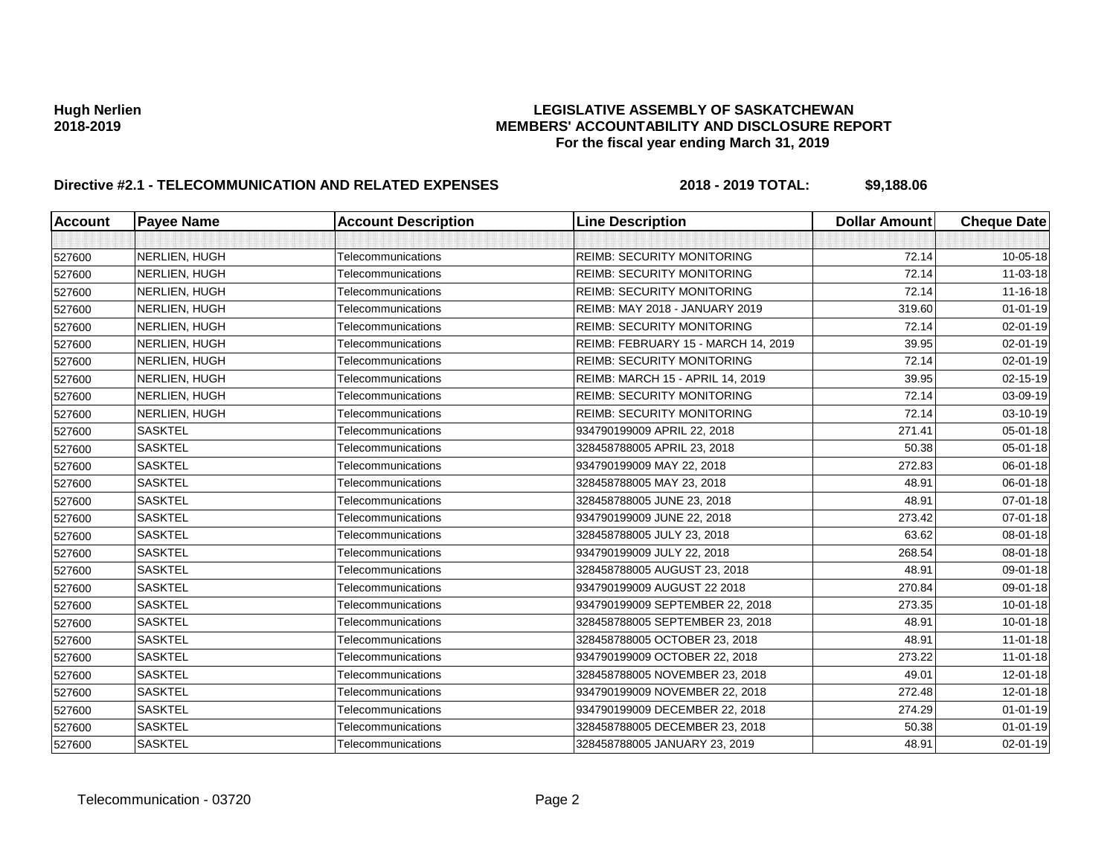| <b>Account</b> | <b>Payee Name</b> | <b>Account Description</b> | <b>Line Description</b>             | <b>Dollar Amount</b> | <b>Cheque Date</b> |
|----------------|-------------------|----------------------------|-------------------------------------|----------------------|--------------------|
|                |                   |                            |                                     |                      |                    |
| 527600         | NERLIEN, HUGH     | Telecommunications         | <b>REIMB: SECURITY MONITORING</b>   | 72.14                | 10-05-18           |
| 527600         | NERLIEN, HUGH     | Telecommunications         | <b>REIMB: SECURITY MONITORING</b>   | 72.14                | 11-03-18           |
| 527600         | NERLIEN, HUGH     | Telecommunications         | <b>REIMB: SECURITY MONITORING</b>   | 72.14                | 11-16-18           |
| 527600         | NERLIEN, HUGH     | Telecommunications         | REIMB: MAY 2018 - JANUARY 2019      | 319.60               | $01 - 01 - 19$     |
| 527600         | NERLIEN, HUGH     | Telecommunications         | <b>REIMB: SECURITY MONITORING</b>   | 72.14                | 02-01-19           |
| 527600         | NERLIEN, HUGH     | Telecommunications         | REIMB: FEBRUARY 15 - MARCH 14, 2019 | 39.95                | 02-01-19           |
| 527600         | NERLIEN, HUGH     | Telecommunications         | <b>REIMB: SECURITY MONITORING</b>   | 72.14                | 02-01-19           |
| 527600         | NERLIEN, HUGH     | Telecommunications         | REIMB: MARCH 15 - APRIL 14, 2019    | 39.95                | 02-15-19           |
| 527600         | NERLIEN, HUGH     | Telecommunications         | <b>REIMB: SECURITY MONITORING</b>   | 72.14                | 03-09-19           |
| 527600         | NERLIEN, HUGH     | Telecommunications         | <b>REIMB: SECURITY MONITORING</b>   | 72.14                | 03-10-19           |
| 527600         | <b>SASKTEL</b>    | Telecommunications         | 934790199009 APRIL 22, 2018         | 271.41               | 05-01-18           |
| 527600         | <b>SASKTEL</b>    | Telecommunications         | 328458788005 APRIL 23, 2018         | 50.38                | 05-01-18           |
| 527600         | <b>SASKTEL</b>    | Telecommunications         | 934790199009 MAY 22, 2018           | 272.83               | 06-01-18           |
| 527600         | <b>SASKTEL</b>    | Telecommunications         | 328458788005 MAY 23, 2018           | 48.91                | 06-01-18           |
| 527600         | <b>SASKTEL</b>    | Telecommunications         | 328458788005 JUNE 23, 2018          | 48.91                | 07-01-18           |
| 527600         | <b>SASKTEL</b>    | Telecommunications         | 934790199009 JUNE 22, 2018          | 273.42               | 07-01-18           |
| 527600         | <b>SASKTEL</b>    | Telecommunications         | 328458788005 JULY 23, 2018          | 63.62                | 08-01-18           |
| 527600         | <b>SASKTEL</b>    | Telecommunications         | 934790199009 JULY 22, 2018          | 268.54               | 08-01-18           |
| 527600         | <b>SASKTEL</b>    | Telecommunications         | 328458788005 AUGUST 23, 2018        | 48.91                | 09-01-18           |
| 527600         | <b>SASKTEL</b>    | Telecommunications         | 934790199009 AUGUST 22 2018         | 270.84               | 09-01-18           |
| 527600         | <b>SASKTEL</b>    | Telecommunications         | 934790199009 SEPTEMBER 22, 2018     | 273.35               | 10-01-18           |
| 527600         | <b>SASKTEL</b>    | Telecommunications         | 328458788005 SEPTEMBER 23, 2018     | 48.91                | $10 - 01 - 18$     |
| 527600         | <b>SASKTEL</b>    | Telecommunications         | 328458788005 OCTOBER 23, 2018       | 48.91                | $11 - 01 - 18$     |
| 527600         | <b>SASKTEL</b>    | Telecommunications         | 934790199009 OCTOBER 22, 2018       | 273.22               | $11 - 01 - 18$     |
| 527600         | <b>SASKTEL</b>    | Telecommunications         | 328458788005 NOVEMBER 23, 2018      | 49.01                | 12-01-18           |
| 527600         | <b>SASKTEL</b>    | Telecommunications         | 934790199009 NOVEMBER 22, 2018      | 272.48               | 12-01-18           |
| 527600         | <b>SASKTEL</b>    | Telecommunications         | 934790199009 DECEMBER 22, 2018      | 274.29               | $01 - 01 - 19$     |
| 527600         | <b>SASKTEL</b>    | Telecommunications         | 328458788005 DECEMBER 23, 2018      | 50.38                | $01 - 01 - 19$     |
| 527600         | <b>SASKTEL</b>    | Telecommunications         | 328458788005 JANUARY 23, 2019       | 48.91                | 02-01-19           |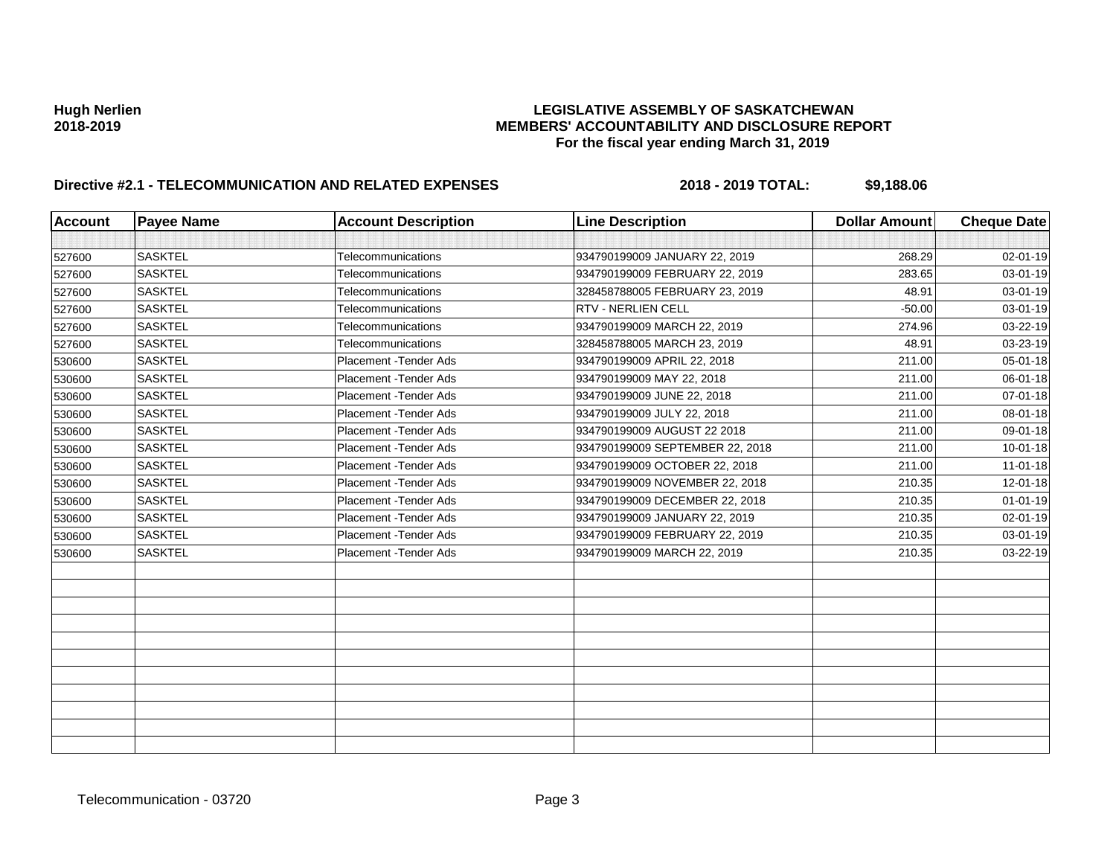| <b>Account</b> | <b>Payee Name</b> | <b>Account Description</b> | <b>Line Description</b>         | <b>Dollar Amount</b> | <b>Cheque Date</b> |
|----------------|-------------------|----------------------------|---------------------------------|----------------------|--------------------|
|                |                   |                            |                                 |                      |                    |
| 527600         | <b>SASKTEL</b>    | Telecommunications         | 934790199009 JANUARY 22, 2019   | 268.29               | $02 - 01 - 19$     |
| 527600         | <b>SASKTEL</b>    | Telecommunications         | 934790199009 FEBRUARY 22, 2019  | 283.65               | 03-01-19           |
| 527600         | <b>SASKTEL</b>    | Telecommunications         | 328458788005 FEBRUARY 23, 2019  | 48.91                | $03 - 01 - 19$     |
| 527600         | <b>SASKTEL</b>    | Telecommunications         | RTV - NERLIEN CELL              | $-50.00$             | 03-01-19           |
| 527600         | <b>SASKTEL</b>    | Telecommunications         | 934790199009 MARCH 22, 2019     | 274.96               | 03-22-19           |
| 527600         | <b>SASKTEL</b>    | Telecommunications         | 328458788005 MARCH 23, 2019     | 48.91                | 03-23-19           |
| 530600         | <b>SASKTEL</b>    | Placement - Tender Ads     | 934790199009 APRIL 22, 2018     | 211.00               | 05-01-18           |
| 530600         | <b>SASKTEL</b>    | Placement - Tender Ads     | 934790199009 MAY 22, 2018       | 211.00               | 06-01-18           |
| 530600         | <b>SASKTEL</b>    | Placement - Tender Ads     | 934790199009 JUNE 22, 2018      | 211.00               | $07 - 01 - 18$     |
| 530600         | <b>SASKTEL</b>    | Placement - Tender Ads     | 934790199009 JULY 22, 2018      | 211.00               | $08 - 01 - 18$     |
| 530600         | <b>SASKTEL</b>    | Placement - Tender Ads     | 934790199009 AUGUST 22 2018     | 211.00               | 09-01-18           |
| 530600         | <b>SASKTEL</b>    | Placement - Tender Ads     | 934790199009 SEPTEMBER 22, 2018 | 211.00               | $10 - 01 - 18$     |
| 530600         | <b>SASKTEL</b>    | Placement - Tender Ads     | 934790199009 OCTOBER 22, 2018   | 211.00               | $11-01-18$         |
| 530600         | <b>SASKTEL</b>    | Placement - Tender Ads     | 934790199009 NOVEMBER 22, 2018  | 210.35               | $12 - 01 - 18$     |
| 530600         | <b>SASKTEL</b>    | Placement - Tender Ads     | 934790199009 DECEMBER 22, 2018  | 210.35               | $01 - 01 - 19$     |
| 530600         | <b>SASKTEL</b>    | Placement - Tender Ads     | 934790199009 JANUARY 22, 2019   | 210.35               | $02 - 01 - 19$     |
| 530600         | <b>SASKTEL</b>    | Placement - Tender Ads     | 934790199009 FEBRUARY 22, 2019  | 210.35               | $03 - 01 - 19$     |
| 530600         | <b>SASKTEL</b>    | Placement - Tender Ads     | 934790199009 MARCH 22, 2019     | 210.35               | 03-22-19           |
|                |                   |                            |                                 |                      |                    |
|                |                   |                            |                                 |                      |                    |
|                |                   |                            |                                 |                      |                    |
|                |                   |                            |                                 |                      |                    |
|                |                   |                            |                                 |                      |                    |
|                |                   |                            |                                 |                      |                    |
|                |                   |                            |                                 |                      |                    |
|                |                   |                            |                                 |                      |                    |
|                |                   |                            |                                 |                      |                    |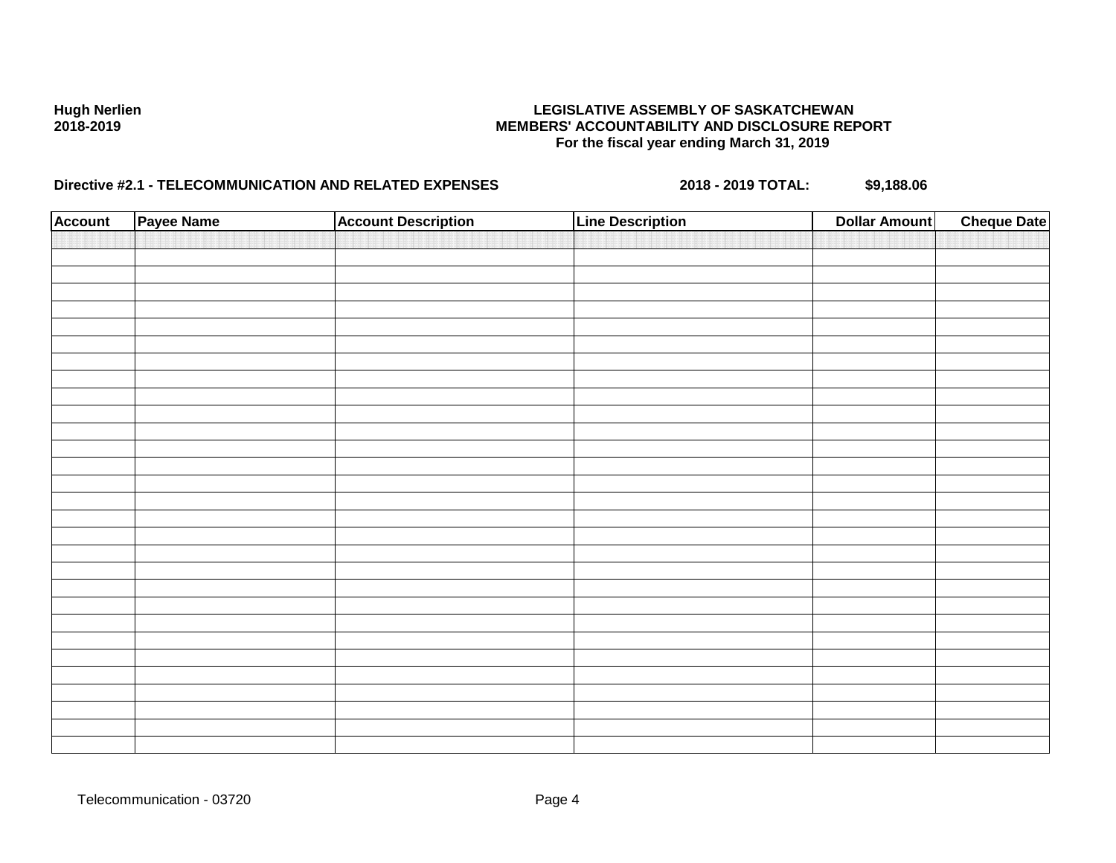| <b>Account</b> | Payee Name | <b>Account Description</b> | <b>Line Description</b> | <b>Dollar Amount</b> | <b>Cheque Date</b> |
|----------------|------------|----------------------------|-------------------------|----------------------|--------------------|
|                |            |                            |                         |                      |                    |
|                |            |                            |                         |                      |                    |
|                |            |                            |                         |                      |                    |
|                |            |                            |                         |                      |                    |
|                |            |                            |                         |                      |                    |
|                |            |                            |                         |                      |                    |
|                |            |                            |                         |                      |                    |
|                |            |                            |                         |                      |                    |
|                |            |                            |                         |                      |                    |
|                |            |                            |                         |                      |                    |
|                |            |                            |                         |                      |                    |
|                |            |                            |                         |                      |                    |
|                |            |                            |                         |                      |                    |
|                |            |                            |                         |                      |                    |
|                |            |                            |                         |                      |                    |
|                |            |                            |                         |                      |                    |
|                |            |                            |                         |                      |                    |
|                |            |                            |                         |                      |                    |
|                |            |                            |                         |                      |                    |
|                |            |                            |                         |                      |                    |
|                |            |                            |                         |                      |                    |
|                |            |                            |                         |                      |                    |
|                |            |                            |                         |                      |                    |
|                |            |                            |                         |                      |                    |
|                |            |                            |                         |                      |                    |
|                |            |                            |                         |                      |                    |
|                |            |                            |                         |                      |                    |
|                |            |                            |                         |                      |                    |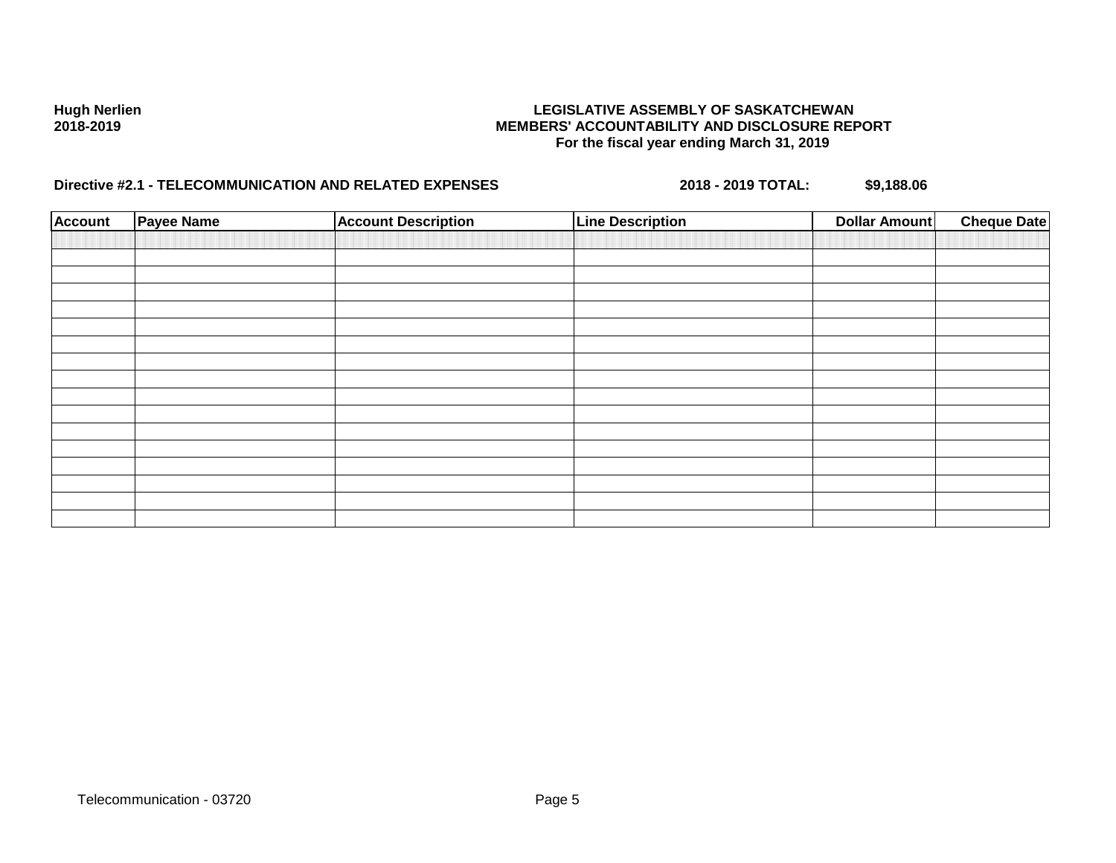| <b>Account</b> | <b>Payee Name</b> | <b>Account Description</b> | <b>Line Description</b> | <b>Dollar Amount</b> | <b>Cheque Date</b> |
|----------------|-------------------|----------------------------|-------------------------|----------------------|--------------------|
|                |                   |                            |                         |                      |                    |
|                |                   |                            |                         |                      |                    |
|                |                   |                            |                         |                      |                    |
|                |                   |                            |                         |                      |                    |
|                |                   |                            |                         |                      |                    |
|                |                   |                            |                         |                      |                    |
|                |                   |                            |                         |                      |                    |
|                |                   |                            |                         |                      |                    |
|                |                   |                            |                         |                      |                    |
|                |                   |                            |                         |                      |                    |
|                |                   |                            |                         |                      |                    |
|                |                   |                            |                         |                      |                    |
|                |                   |                            |                         |                      |                    |
|                |                   |                            |                         |                      |                    |
|                |                   |                            |                         |                      |                    |
|                |                   |                            |                         |                      |                    |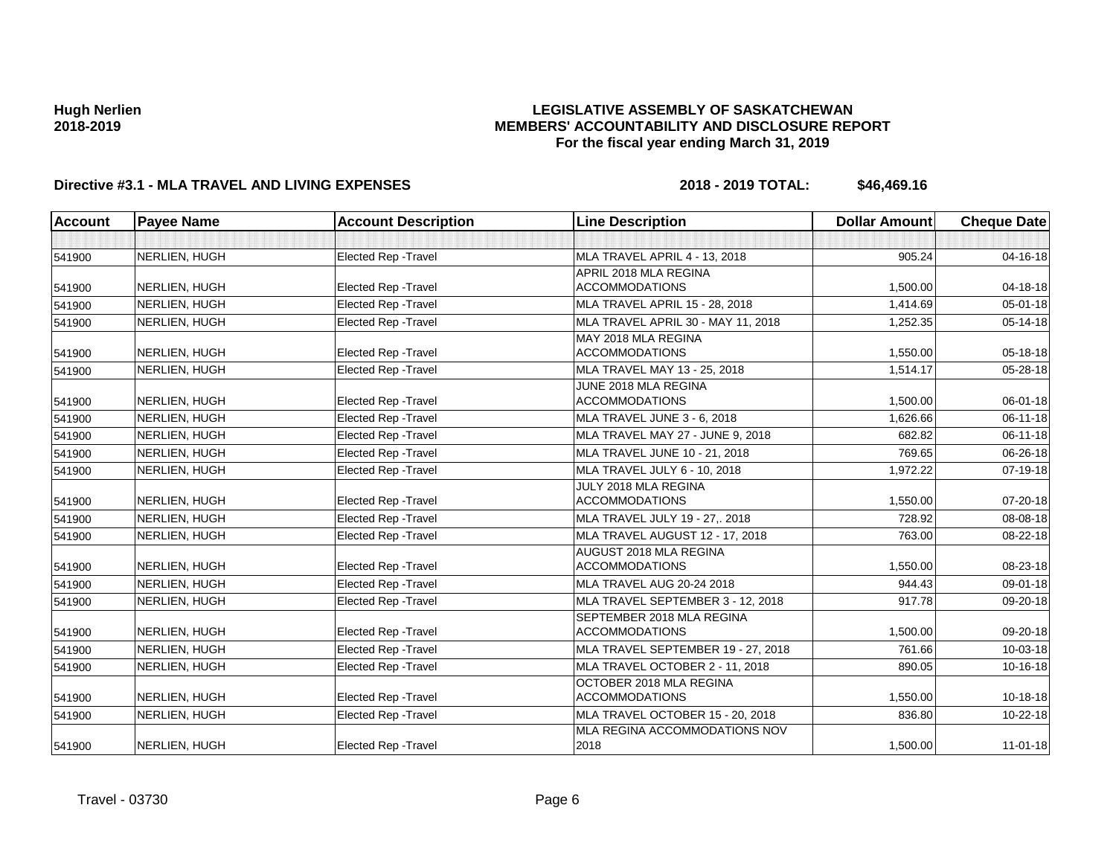### **LEGISLATIVE ASSEMBLY OF SASKATCHEWAN MEMBERS' ACCOUNTABILITY AND DISCLOSURE REPORT For the fiscal year ending March 31, 2019**

| Account | <b>Payee Name</b>    | <b>Account Description</b>  | <b>Line Description</b>               | <b>Dollar Amount</b> | <b>Cheque Date</b> |
|---------|----------------------|-----------------------------|---------------------------------------|----------------------|--------------------|
|         |                      |                             |                                       |                      |                    |
| 541900  | NERLIEN, HUGH        | <b>Elected Rep - Travel</b> | MLA TRAVEL APRIL 4 - 13, 2018         | 905.24               | 04-16-18           |
|         |                      |                             | APRIL 2018 MLA REGINA                 |                      |                    |
| 541900  | NERLIEN, HUGH        | <b>Elected Rep - Travel</b> | <b>ACCOMMODATIONS</b>                 | 1,500.00             | 04-18-18           |
| 541900  | <b>NERLIEN, HUGH</b> | <b>Elected Rep - Travel</b> | <b>MLA TRAVEL APRIL 15 - 28, 2018</b> | 1.414.69             | $05 - 01 - 18$     |
| 541900  | NERLIEN, HUGH        | <b>Elected Rep - Travel</b> | MLA TRAVEL APRIL 30 - MAY 11, 2018    | 1,252.35             | $05 - 14 - 18$     |
|         |                      |                             | MAY 2018 MLA REGINA                   |                      |                    |
| 541900  | NERLIEN, HUGH        | <b>Elected Rep - Travel</b> | <b>ACCOMMODATIONS</b>                 | 1,550.00             | 05-18-18           |
| 541900  | NERLIEN, HUGH        | <b>Elected Rep - Travel</b> | MLA TRAVEL MAY 13 - 25, 2018          | 1,514.17             | 05-28-18           |
|         |                      |                             | JUNE 2018 MLA REGINA                  |                      |                    |
| 541900  | NERLIEN, HUGH        | <b>Elected Rep - Travel</b> | <b>ACCOMMODATIONS</b>                 | 1,500.00             | 06-01-18           |
| 541900  | NERLIEN, HUGH        | <b>Elected Rep - Travel</b> | MLA TRAVEL JUNE 3 - 6, 2018           | 1.626.66             | $06 - 11 - 18$     |
| 541900  | NERLIEN, HUGH        | <b>Elected Rep - Travel</b> | MLA TRAVEL MAY 27 - JUNE 9, 2018      | 682.82               | $06 - 11 - 18$     |
| 541900  | NERLIEN, HUGH        | Elected Rep - Travel        | MLA TRAVEL JUNE 10 - 21, 2018         | 769.65               | 06-26-18           |
| 541900  | NERLIEN, HUGH        | <b>Elected Rep - Travel</b> | MLA TRAVEL JULY 6 - 10, 2018          | 1,972.22             | 07-19-18           |
|         |                      |                             | JULY 2018 MLA REGINA                  |                      |                    |
| 541900  | NERLIEN, HUGH        | <b>Elected Rep - Travel</b> | <b>ACCOMMODATIONS</b>                 | 1,550.00             | 07-20-18           |
| 541900  | NERLIEN, HUGH        | Elected Rep - Travel        | MLA TRAVEL JULY 19 - 27,. 2018        | 728.92               | 08-08-18           |
| 541900  | NERLIEN, HUGH        | <b>Elected Rep - Travel</b> | MLA TRAVEL AUGUST 12 - 17, 2018       | 763.00               | 08-22-18           |
|         |                      |                             | AUGUST 2018 MLA REGINA                |                      |                    |
| 541900  | NERLIEN, HUGH        | <b>Elected Rep - Travel</b> | <b>ACCOMMODATIONS</b>                 | 1,550.00             | 08-23-18           |
| 541900  | NERLIEN, HUGH        | <b>Elected Rep - Travel</b> | MLA TRAVEL AUG 20-24 2018             | 944.43               | 09-01-18           |
| 541900  | NERLIEN, HUGH        | <b>Elected Rep - Travel</b> | MLA TRAVEL SEPTEMBER 3 - 12, 2018     | 917.78               | 09-20-18           |
|         |                      |                             | SEPTEMBER 2018 MLA REGINA             |                      |                    |
| 541900  | NERLIEN, HUGH        | <b>Elected Rep - Travel</b> | <b>ACCOMMODATIONS</b>                 | 1,500.00             | 09-20-18           |
| 541900  | NERLIEN, HUGH        | <b>Elected Rep - Travel</b> | MLA TRAVEL SEPTEMBER 19 - 27, 2018    | 761.66               | 10-03-18           |
| 541900  | NERLIEN, HUGH        | <b>Elected Rep - Travel</b> | MLA TRAVEL OCTOBER 2 - 11, 2018       | 890.05               | 10-16-18           |
|         |                      |                             | OCTOBER 2018 MLA REGINA               |                      |                    |
| 541900  | NERLIEN, HUGH        | <b>Elected Rep - Travel</b> | <b>ACCOMMODATIONS</b>                 | 1,550.00             | $10-18-18$         |
| 541900  | NERLIEN, HUGH        | <b>Elected Rep - Travel</b> | MLA TRAVEL OCTOBER 15 - 20, 2018      | 836.80               | 10-22-18           |
|         |                      |                             | <b>IMLA REGINA ACCOMMODATIONS NOV</b> |                      |                    |
| 541900  | NERLIEN, HUGH        | <b>Elected Rep - Travel</b> | 2018                                  | 1,500.00             | $11 - 01 - 18$     |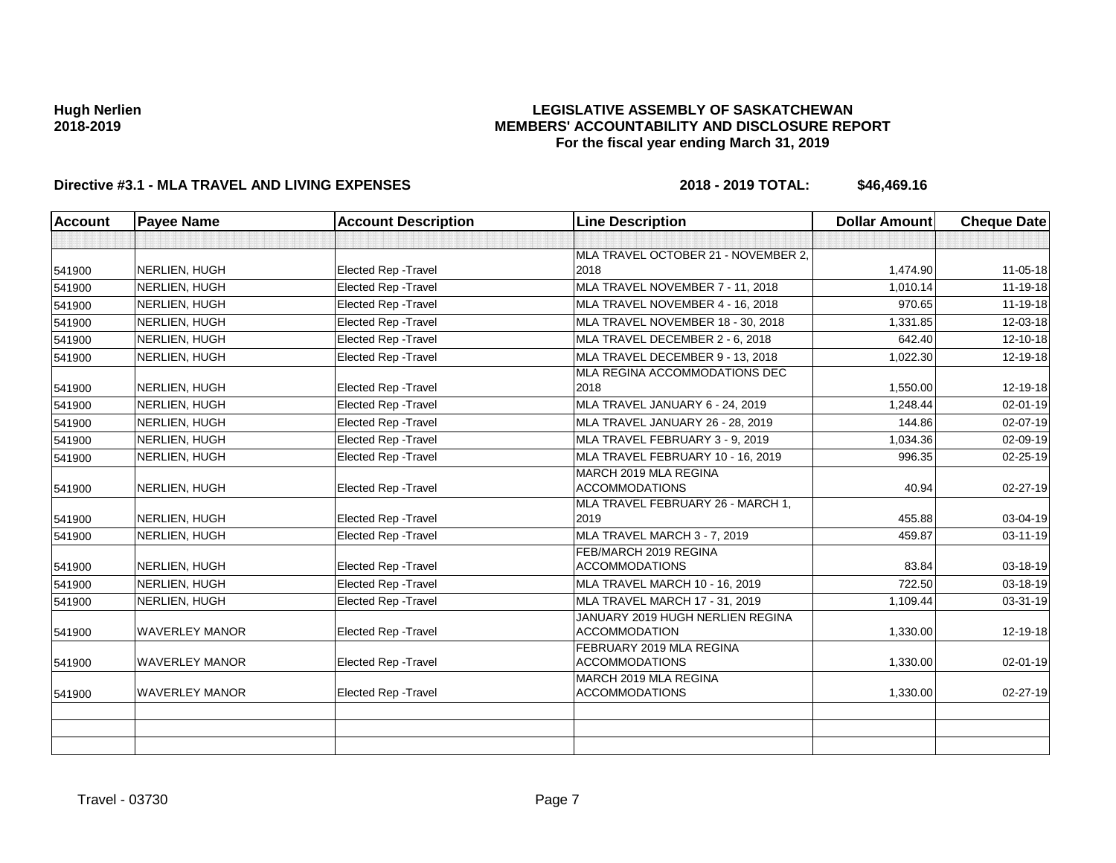### **LEGISLATIVE ASSEMBLY OF SASKATCHEWAN MEMBERS' ACCOUNTABILITY AND DISCLOSURE REPORT For the fiscal year ending March 31, 2019**

| <b>Account</b> | <b>Payee Name</b>     | <b>Account Description</b>  | <b>Line Description</b>                           | <b>Dollar Amount</b> | <b>Cheque Date</b> |
|----------------|-----------------------|-----------------------------|---------------------------------------------------|----------------------|--------------------|
|                |                       |                             |                                                   |                      |                    |
|                |                       |                             | MLA TRAVEL OCTOBER 21 - NOVEMBER 2,               |                      |                    |
| 541900         | NERLIEN, HUGH         | <b>Elected Rep - Travel</b> | 2018                                              | 1,474.90             | 11-05-18           |
| 541900         | NERLIEN, HUGH         | <b>Elected Rep - Travel</b> | MLA TRAVEL NOVEMBER 7 - 11, 2018                  | 1,010.14             | 11-19-18           |
| 541900         | NERLIEN, HUGH         | <b>Elected Rep - Travel</b> | MLA TRAVEL NOVEMBER 4 - 16, 2018                  | 970.65               | 11-19-18           |
| 541900         | NERLIEN, HUGH         | Elected Rep - Travel        | MLA TRAVEL NOVEMBER 18 - 30, 2018                 | 1,331.85             | 12-03-18           |
| 541900         | NERLIEN, HUGH         | Elected Rep - Travel        | MLA TRAVEL DECEMBER 2 - 6, 2018                   | 642.40               | 12-10-18           |
| 541900         | NERLIEN, HUGH         | Elected Rep - Travel        | MLA TRAVEL DECEMBER 9 - 13, 2018                  | 1,022.30             | 12-19-18           |
|                |                       |                             | MLA REGINA ACCOMMODATIONS DEC                     |                      |                    |
| 541900         | NERLIEN, HUGH         | Elected Rep - Travel        | 2018                                              | 1,550.00             | 12-19-18           |
| 541900         | NERLIEN, HUGH         | Elected Rep - Travel        | MLA TRAVEL JANUARY 6 - 24, 2019                   | 1,248.44             | $02 - 01 - 19$     |
| 541900         | NERLIEN, HUGH         | Elected Rep - Travel        | MLA TRAVEL JANUARY 26 - 28, 2019                  | 144.86               | 02-07-19           |
| 541900         | NERLIEN, HUGH         | Elected Rep - Travel        | MLA TRAVEL FEBRUARY 3 - 9, 2019                   | 1,034.36             | 02-09-19           |
| 541900         | NERLIEN, HUGH         | <b>Elected Rep - Travel</b> | MLA TRAVEL FEBRUARY 10 - 16, 2019                 | 996.35               | 02-25-19           |
|                |                       |                             | MARCH 2019 MLA REGINA                             |                      |                    |
| 541900         | NERLIEN, HUGH         | <b>Elected Rep - Travel</b> | <b>ACCOMMODATIONS</b>                             | 40.94                | 02-27-19           |
|                |                       |                             | MLA TRAVEL FEBRUARY 26 - MARCH 1,                 |                      |                    |
| 541900         | NERLIEN, HUGH         | Elected Rep - Travel        | 2019                                              | 455.88               | 03-04-19           |
| 541900         | NERLIEN, HUGH         | Elected Rep - Travel        | MLA TRAVEL MARCH 3 - 7, 2019                      | 459.87               | 03-11-19           |
|                |                       |                             | FEB/MARCH 2019 REGINA                             |                      |                    |
| 541900         | NERLIEN, HUGH         | Elected Rep - Travel        | <b>ACCOMMODATIONS</b>                             | 83.84                | 03-18-19           |
| 541900         | NERLIEN, HUGH         | Elected Rep - Travel        | MLA TRAVEL MARCH 10 - 16, 2019                    | 722.50               | 03-18-19           |
| 541900         | NERLIEN, HUGH         | <b>Elected Rep - Travel</b> | MLA TRAVEL MARCH 17 - 31, 2019                    | 1,109.44             | 03-31-19           |
|                |                       |                             | JANUARY 2019 HUGH NERLIEN REGINA                  |                      |                    |
| 541900         | <b>WAVERLEY MANOR</b> | Elected Rep - Travel        | <b>ACCOMMODATION</b>                              | 1,330.00             | 12-19-18           |
|                | <b>WAVERLEY MANOR</b> | <b>Elected Rep - Travel</b> | FEBRUARY 2019 MLA REGINA<br><b>ACCOMMODATIONS</b> | 1,330.00             | 02-01-19           |
| 541900         |                       |                             | MARCH 2019 MLA REGINA                             |                      |                    |
| 541900         | <b>WAVERLEY MANOR</b> | Elected Rep - Travel        | <b>ACCOMMODATIONS</b>                             | 1,330.00             | 02-27-19           |
|                |                       |                             |                                                   |                      |                    |
|                |                       |                             |                                                   |                      |                    |
|                |                       |                             |                                                   |                      |                    |
|                |                       |                             |                                                   |                      |                    |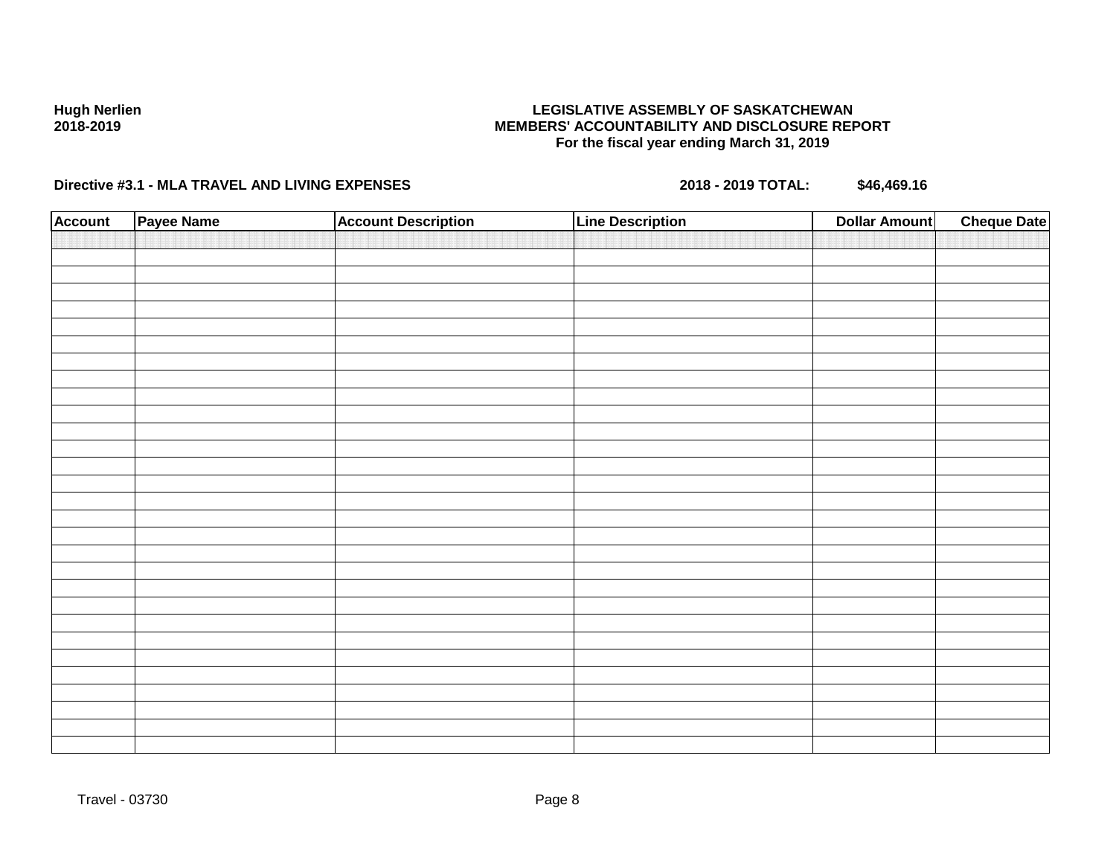### **LEGISLATIVE ASSEMBLY OF SASKATCHEWAN MEMBERS' ACCOUNTABILITY AND DISCLOSURE REPORT For the fiscal year ending March 31, 2019**

| <b>Account</b> | Payee Name | <b>Account Description</b> | <b>Line Description</b> | <b>Dollar Amount</b> | <b>Cheque Date</b> |
|----------------|------------|----------------------------|-------------------------|----------------------|--------------------|
|                |            |                            |                         |                      |                    |
|                |            |                            |                         |                      |                    |
|                |            |                            |                         |                      |                    |
|                |            |                            |                         |                      |                    |
|                |            |                            |                         |                      |                    |
|                |            |                            |                         |                      |                    |
|                |            |                            |                         |                      |                    |
|                |            |                            |                         |                      |                    |
|                |            |                            |                         |                      |                    |
|                |            |                            |                         |                      |                    |
|                |            |                            |                         |                      |                    |
|                |            |                            |                         |                      |                    |
|                |            |                            |                         |                      |                    |
|                |            |                            |                         |                      |                    |
|                |            |                            |                         |                      |                    |
|                |            |                            |                         |                      |                    |
|                |            |                            |                         |                      |                    |
|                |            |                            |                         |                      |                    |
|                |            |                            |                         |                      |                    |
|                |            |                            |                         |                      |                    |
|                |            |                            |                         |                      |                    |
|                |            |                            |                         |                      |                    |
|                |            |                            |                         |                      |                    |
|                |            |                            |                         |                      |                    |
|                |            |                            |                         |                      |                    |
|                |            |                            |                         |                      |                    |
|                |            |                            |                         |                      |                    |
|                |            |                            |                         |                      |                    |
|                |            |                            |                         |                      |                    |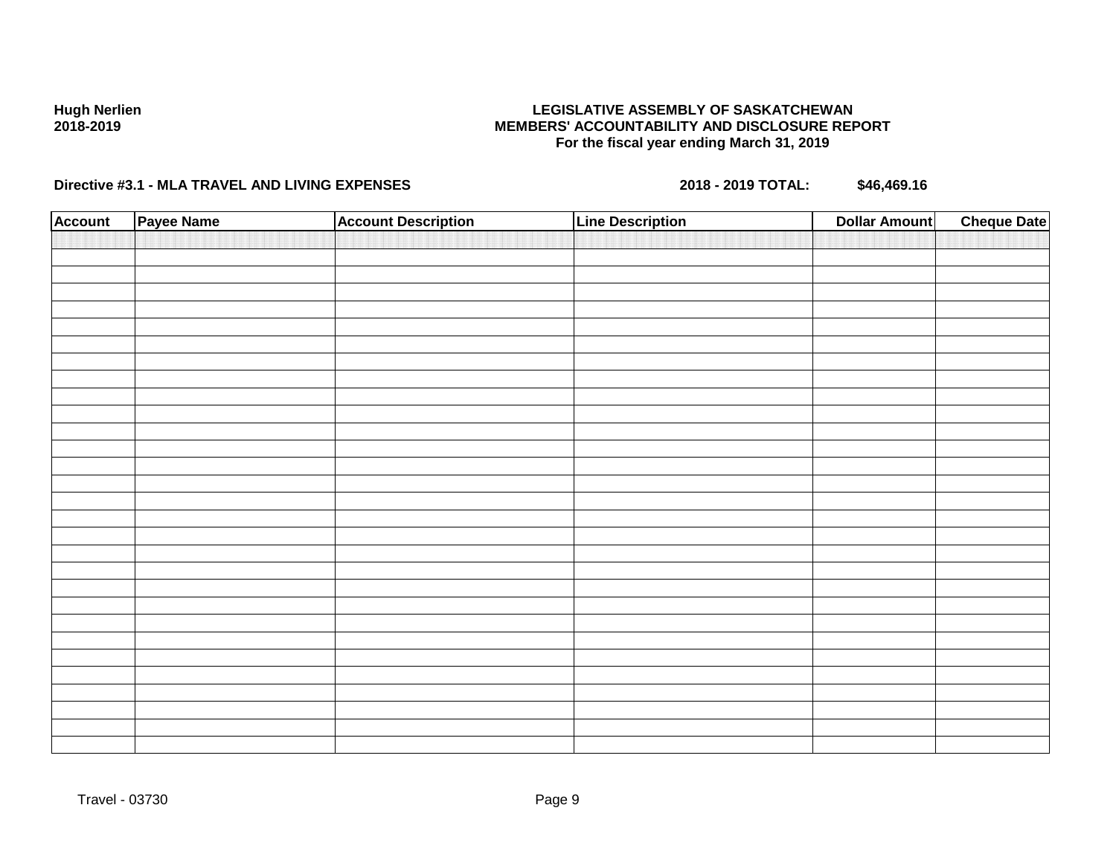### **LEGISLATIVE ASSEMBLY OF SASKATCHEWAN MEMBERS' ACCOUNTABILITY AND DISCLOSURE REPORT For the fiscal year ending March 31, 2019**

| <b>Account</b> | Payee Name | <b>Account Description</b> | <b>Line Description</b> | <b>Dollar Amount</b> | <b>Cheque Date</b> |
|----------------|------------|----------------------------|-------------------------|----------------------|--------------------|
|                |            |                            |                         |                      |                    |
|                |            |                            |                         |                      |                    |
|                |            |                            |                         |                      |                    |
|                |            |                            |                         |                      |                    |
|                |            |                            |                         |                      |                    |
|                |            |                            |                         |                      |                    |
|                |            |                            |                         |                      |                    |
|                |            |                            |                         |                      |                    |
|                |            |                            |                         |                      |                    |
|                |            |                            |                         |                      |                    |
|                |            |                            |                         |                      |                    |
|                |            |                            |                         |                      |                    |
|                |            |                            |                         |                      |                    |
|                |            |                            |                         |                      |                    |
|                |            |                            |                         |                      |                    |
|                |            |                            |                         |                      |                    |
|                |            |                            |                         |                      |                    |
|                |            |                            |                         |                      |                    |
|                |            |                            |                         |                      |                    |
|                |            |                            |                         |                      |                    |
|                |            |                            |                         |                      |                    |
|                |            |                            |                         |                      |                    |
|                |            |                            |                         |                      |                    |
|                |            |                            |                         |                      |                    |
|                |            |                            |                         |                      |                    |
|                |            |                            |                         |                      |                    |
|                |            |                            |                         |                      |                    |
|                |            |                            |                         |                      |                    |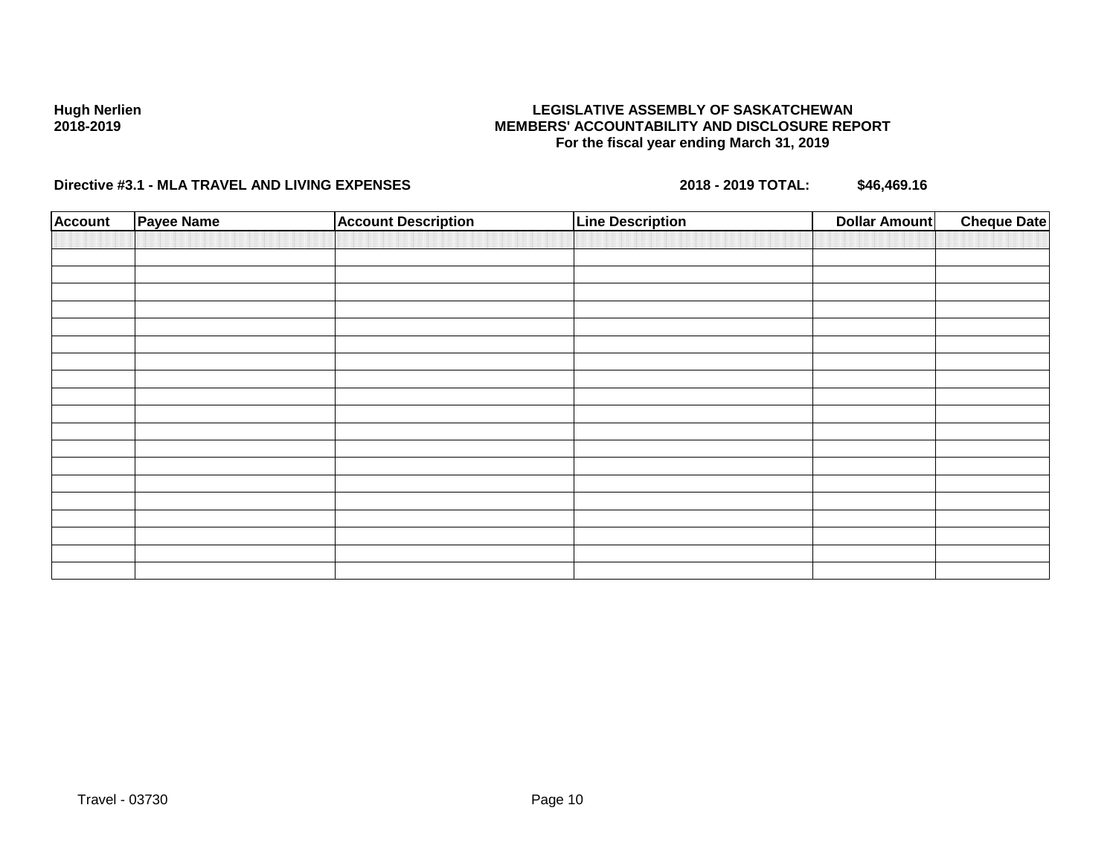### **LEGISLATIVE ASSEMBLY OF SASKATCHEWAN MEMBERS' ACCOUNTABILITY AND DISCLOSURE REPORT For the fiscal year ending March 31, 2019**

| <b>Account</b> | Payee Name | <b>Account Description</b> | <b>Line Description</b> | <b>Dollar Amount</b> | <b>Cheque Date</b> |
|----------------|------------|----------------------------|-------------------------|----------------------|--------------------|
|                |            |                            |                         |                      |                    |
|                |            |                            |                         |                      |                    |
|                |            |                            |                         |                      |                    |
|                |            |                            |                         |                      |                    |
|                |            |                            |                         |                      |                    |
|                |            |                            |                         |                      |                    |
|                |            |                            |                         |                      |                    |
|                |            |                            |                         |                      |                    |
|                |            |                            |                         |                      |                    |
|                |            |                            |                         |                      |                    |
|                |            |                            |                         |                      |                    |
|                |            |                            |                         |                      |                    |
|                |            |                            |                         |                      |                    |
|                |            |                            |                         |                      |                    |
|                |            |                            |                         |                      |                    |
|                |            |                            |                         |                      |                    |
|                |            |                            |                         |                      |                    |
|                |            |                            |                         |                      |                    |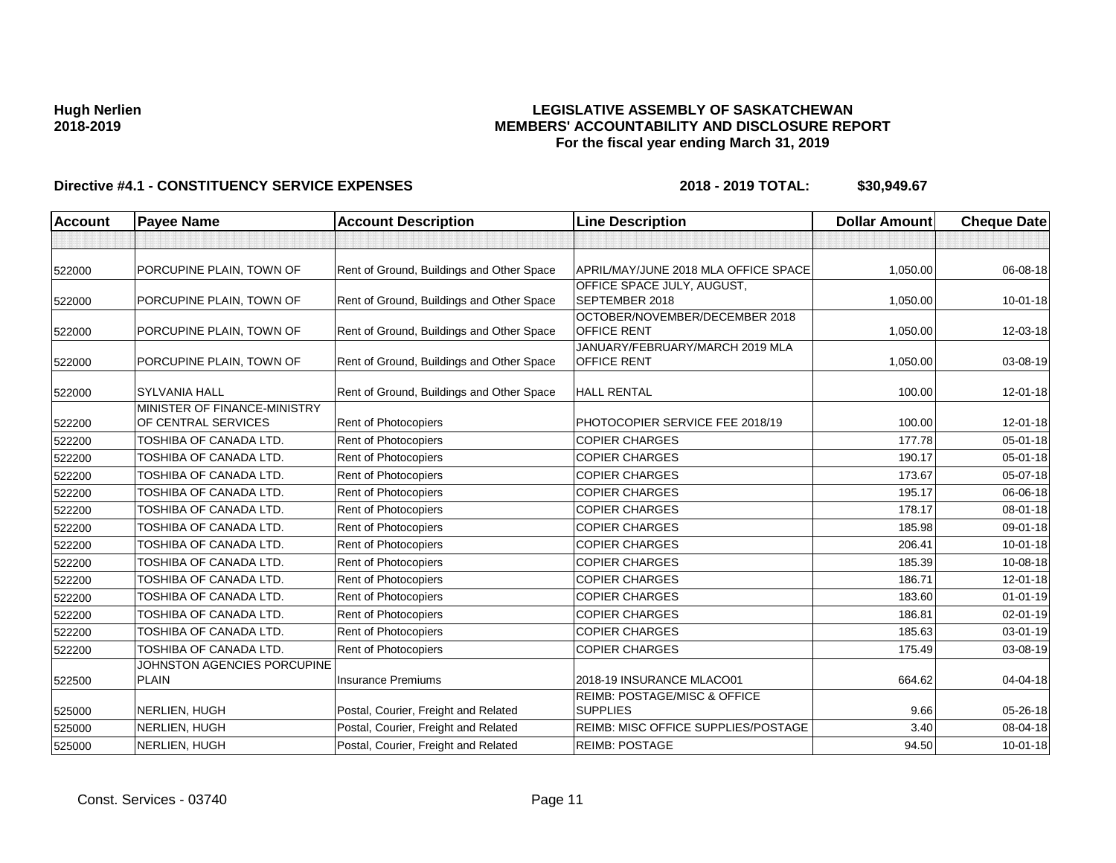### **LEGISLATIVE ASSEMBLY OF SASKATCHEWAN MEMBERS' ACCOUNTABILITY AND DISCLOSURE REPORT For the fiscal year ending March 31, 2019**

| <b>Account</b> | <b>Payee Name</b>                                   | <b>Account Description</b>                | <b>Line Description</b>                              | <b>Dollar Amount</b> | <b>Cheque Date</b> |
|----------------|-----------------------------------------------------|-------------------------------------------|------------------------------------------------------|----------------------|--------------------|
|                |                                                     |                                           |                                                      |                      |                    |
| 522000         | PORCUPINE PLAIN, TOWN OF                            | Rent of Ground, Buildings and Other Space | APRIL/MAY/JUNE 2018 MLA OFFICE SPACE                 | 1,050.00             | 06-08-18           |
| 522000         | PORCUPINE PLAIN, TOWN OF                            | Rent of Ground, Buildings and Other Space | OFFICE SPACE JULY, AUGUST,<br>SEPTEMBER 2018         | 1,050.00             | $10 - 01 - 18$     |
| 522000         | PORCUPINE PLAIN, TOWN OF                            | Rent of Ground, Buildings and Other Space | OCTOBER/NOVEMBER/DECEMBER 2018<br><b>OFFICE RENT</b> | 1,050.00             | 12-03-18           |
| 522000         | PORCUPINE PLAIN, TOWN OF                            | Rent of Ground, Buildings and Other Space | JANUARY/FEBRUARY/MARCH 2019 MLA<br>OFFICE RENT       | 1,050.00             | 03-08-19           |
| 522000         | <b>SYLVANIA HALL</b>                                | Rent of Ground, Buildings and Other Space | <b>HALL RENTAL</b>                                   | 100.00               | 12-01-18           |
| 522200         | MINISTER OF FINANCE-MINISTRY<br>OF CENTRAL SERVICES | Rent of Photocopiers                      | PHOTOCOPIER SERVICE FEE 2018/19                      | 100.00               | 12-01-18           |
| 522200         | TOSHIBA OF CANADA LTD.                              | Rent of Photocopiers                      | <b>COPIER CHARGES</b>                                | 177.78               | 05-01-18           |
| 522200         | TOSHIBA OF CANADA LTD.                              | Rent of Photocopiers                      | <b>COPIER CHARGES</b>                                | 190.17               | 05-01-18           |
| 522200         | TOSHIBA OF CANADA LTD.                              | Rent of Photocopiers                      | <b>COPIER CHARGES</b>                                | 173.67               | 05-07-18           |
| 522200         | TOSHIBA OF CANADA LTD.                              | Rent of Photocopiers                      | <b>COPIER CHARGES</b>                                | 195.17               | 06-06-18           |
| 522200         | TOSHIBA OF CANADA LTD.                              | Rent of Photocopiers                      | <b>COPIER CHARGES</b>                                | 178.17               | 08-01-18           |
| 522200         | TOSHIBA OF CANADA LTD.                              | Rent of Photocopiers                      | <b>COPIER CHARGES</b>                                | 185.98               | 09-01-18           |
| 522200         | TOSHIBA OF CANADA LTD.                              | Rent of Photocopiers                      | <b>COPIER CHARGES</b>                                | 206.41               | $10 - 01 - 18$     |
| 522200         | TOSHIBA OF CANADA LTD.                              | Rent of Photocopiers                      | <b>COPIER CHARGES</b>                                | 185.39               | 10-08-18           |
| 522200         | TOSHIBA OF CANADA LTD.                              | Rent of Photocopiers                      | <b>COPIER CHARGES</b>                                | 186.71               | $12 - 01 - 18$     |
| 522200         | TOSHIBA OF CANADA LTD.                              | Rent of Photocopiers                      | <b>COPIER CHARGES</b>                                | 183.60               | $01 - 01 - 19$     |
| 522200         | TOSHIBA OF CANADA LTD.                              | <b>Rent of Photocopiers</b>               | <b>COPIER CHARGES</b>                                | 186.81               | $02 - 01 - 19$     |
| 522200         | TOSHIBA OF CANADA LTD.                              | Rent of Photocopiers                      | <b>COPIER CHARGES</b>                                | 185.63               | 03-01-19           |
| 522200         | TOSHIBA OF CANADA LTD.                              | Rent of Photocopiers                      | <b>COPIER CHARGES</b>                                | 175.49               | 03-08-19           |
|                | JOHNSTON AGENCIES PORCUPINE                         |                                           |                                                      |                      |                    |
| 522500         | <b>PLAIN</b>                                        | <b>Insurance Premiums</b>                 | 2018-19 INSURANCE MLACO01                            | 664.62               | 04-04-18           |
| 525000         | NERLIEN, HUGH                                       | Postal, Courier, Freight and Related      | REIMB: POSTAGE/MISC & OFFICE<br><b>SUPPLIES</b>      | 9.66                 | $05 - 26 - 18$     |
| 525000         | NERLIEN, HUGH                                       | Postal, Courier, Freight and Related      | REIMB: MISC OFFICE SUPPLIES/POSTAGE                  | 3.40                 | 08-04-18           |
| 525000         | NERLIEN, HUGH                                       | Postal, Courier, Freight and Related      | <b>REIMB: POSTAGE</b>                                | 94.50                | $10 - 01 - 18$     |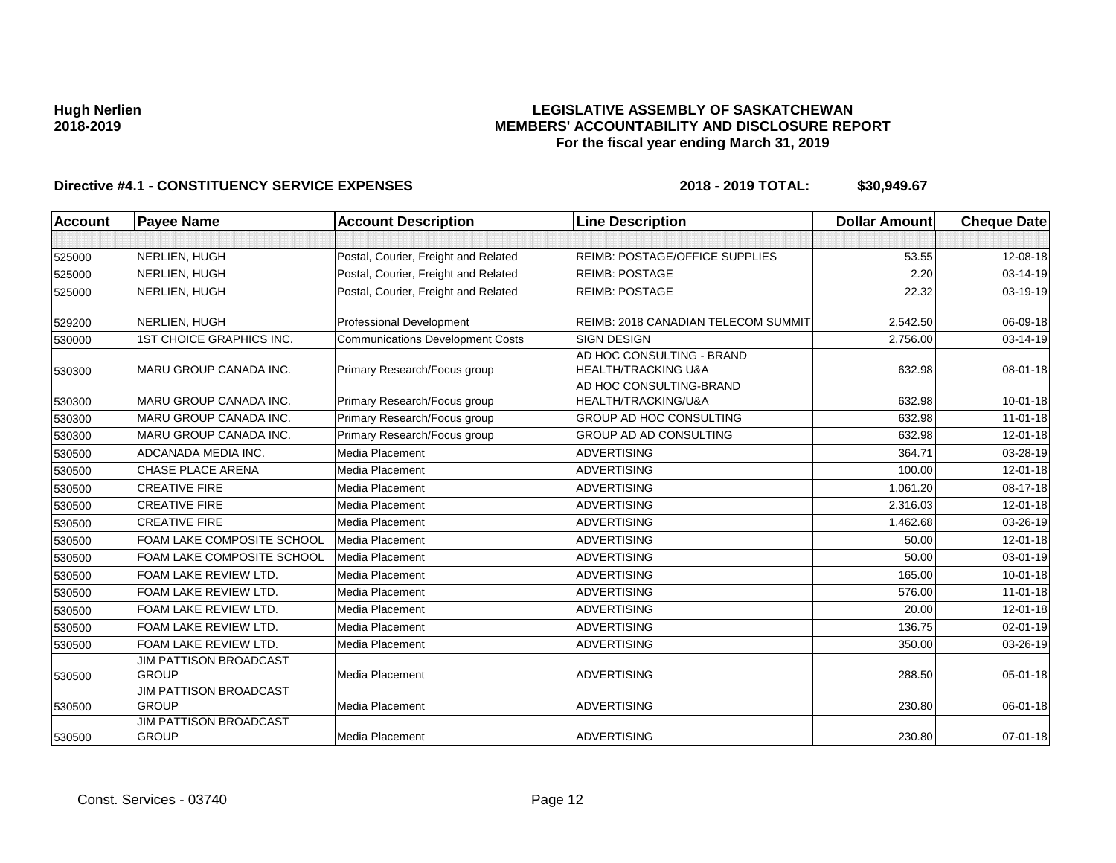### **LEGISLATIVE ASSEMBLY OF SASKATCHEWAN MEMBERS' ACCOUNTABILITY AND DISCLOSURE REPORT For the fiscal year ending March 31, 2019**

| Account | <b>Payee Name</b>                             | <b>Account Description</b>              | <b>Line Description</b>                                     | <b>Dollar Amount</b> | <b>Cheque Date</b> |
|---------|-----------------------------------------------|-----------------------------------------|-------------------------------------------------------------|----------------------|--------------------|
|         |                                               |                                         |                                                             |                      |                    |
| 525000  | NERLIEN, HUGH                                 | Postal, Courier, Freight and Related    | REIMB: POSTAGE/OFFICE SUPPLIES                              | 53.55                | 12-08-18           |
| 525000  | NERLIEN, HUGH                                 | Postal, Courier, Freight and Related    | <b>REIMB: POSTAGE</b>                                       | 2.20                 | 03-14-19           |
| 525000  | NERLIEN, HUGH                                 | Postal, Courier, Freight and Related    | <b>REIMB: POSTAGE</b>                                       | 22.32                | 03-19-19           |
| 529200  | NERLIEN, HUGH                                 | Professional Development                | REIMB: 2018 CANADIAN TELECOM SUMMIT                         | 2,542.50             | 06-09-18           |
| 530000  | <b>1ST CHOICE GRAPHICS INC.</b>               | <b>Communications Development Costs</b> | <b>SIGN DESIGN</b>                                          | 2,756.00             | 03-14-19           |
| 530300  | MARU GROUP CANADA INC.                        | Primary Research/Focus group            | AD HOC CONSULTING - BRAND<br><b>HEALTH/TRACKING U&amp;A</b> | 632.98               | 08-01-18           |
| 530300  | MARU GROUP CANADA INC.                        | Primary Research/Focus group            | AD HOC CONSULTING-BRAND<br>HEALTH/TRACKING/U&A              | 632.98               | $10 - 01 - 18$     |
| 530300  | MARU GROUP CANADA INC.                        | Primary Research/Focus group            | GROUP AD HOC CONSULTING                                     | 632.98               | $11-01-18$         |
| 530300  | MARU GROUP CANADA INC.                        | Primary Research/Focus group            | GROUP AD AD CONSULTING                                      | 632.98               | 12-01-18           |
| 530500  | ADCANADA MEDIA INC.                           | Media Placement                         | <b>ADVERTISING</b>                                          | 364.71               | 03-28-19           |
| 530500  | <b>CHASE PLACE ARENA</b>                      | Media Placement                         | <b>ADVERTISING</b>                                          | 100.00               | 12-01-18           |
| 530500  | <b>CREATIVE FIRE</b>                          | Media Placement                         | <b>ADVERTISING</b>                                          | 1,061.20             | 08-17-18           |
| 530500  | <b>CREATIVE FIRE</b>                          | Media Placement                         | <b>ADVERTISING</b>                                          | 2,316.03             | 12-01-18           |
| 530500  | <b>CREATIVE FIRE</b>                          | Media Placement                         | <b>ADVERTISING</b>                                          | 1,462.68             | 03-26-19           |
| 530500  | FOAM LAKE COMPOSITE SCHOOL                    | Media Placement                         | <b>ADVERTISING</b>                                          | 50.00                | 12-01-18           |
| 530500  | FOAM LAKE COMPOSITE SCHOOL                    | Media Placement                         | <b>ADVERTISING</b>                                          | 50.00                | 03-01-19           |
| 530500  | FOAM LAKE REVIEW LTD.                         | Media Placement                         | <b>ADVERTISING</b>                                          | 165.00               | $10 - 01 - 18$     |
| 530500  | FOAM LAKE REVIEW LTD.                         | Media Placement                         | <b>ADVERTISING</b>                                          | 576.00               | $11 - 01 - 18$     |
| 530500  | FOAM LAKE REVIEW LTD.                         | Media Placement                         | <b>ADVERTISING</b>                                          | 20.00                | 12-01-18           |
| 530500  | FOAM LAKE REVIEW LTD.                         | Media Placement                         | <b>ADVERTISING</b>                                          | 136.75               | 02-01-19           |
| 530500  | FOAM LAKE REVIEW LTD.                         | Media Placement                         | <b>ADVERTISING</b>                                          | 350.00               | 03-26-19           |
| 530500  | <b>JIM PATTISON BROADCAST</b><br><b>GROUP</b> | Media Placement                         | <b>ADVERTISING</b>                                          | 288.50               | 05-01-18           |
| 530500  | <b>JIM PATTISON BROADCAST</b><br><b>GROUP</b> | Media Placement                         | <b>ADVERTISING</b>                                          | 230.80               | 06-01-18           |
| 530500  | <b>JIM PATTISON BROADCAST</b><br><b>GROUP</b> | Media Placement                         | <b>ADVERTISING</b>                                          | 230.80               | $07 - 01 - 18$     |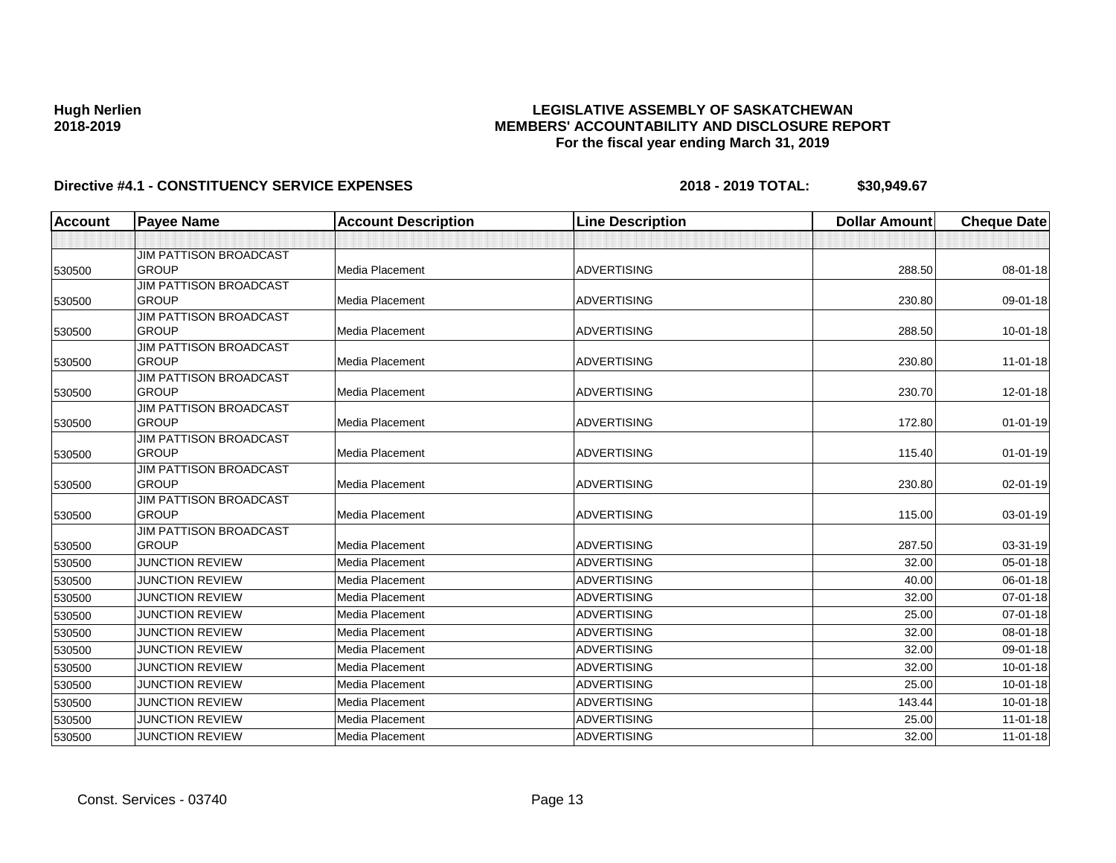### **LEGISLATIVE ASSEMBLY OF SASKATCHEWAN MEMBERS' ACCOUNTABILITY AND DISCLOSURE REPORT For the fiscal year ending March 31, 2019**

| <b>Account</b> | <b>Payee Name</b>                             | <b>Account Description</b> | <b>Line Description</b> | <b>Dollar Amount</b> | <b>Cheque Date</b> |
|----------------|-----------------------------------------------|----------------------------|-------------------------|----------------------|--------------------|
|                |                                               |                            |                         |                      |                    |
|                | <b>JIM PATTISON BROADCAST</b>                 |                            |                         |                      |                    |
| 530500         | <b>GROUP</b>                                  | Media Placement            | <b>ADVERTISING</b>      | 288.50               | 08-01-18           |
|                | <b>JIM PATTISON BROADCAST</b>                 |                            |                         |                      |                    |
| 530500         | <b>GROUP</b>                                  | Media Placement            | <b>ADVERTISING</b>      | 230.80               | 09-01-18           |
|                | <b>JIM PATTISON BROADCAST</b>                 |                            |                         |                      |                    |
| 530500         | <b>GROUP</b>                                  | Media Placement            | <b>ADVERTISING</b>      | 288.50               | $10 - 01 - 18$     |
|                | <b>JIM PATTISON BROADCAST</b>                 |                            |                         |                      |                    |
| 530500         | <b>GROUP</b>                                  | <b>Media Placement</b>     | <b>ADVERTISING</b>      | 230.80               | $11-01-18$         |
|                | <b>JIM PATTISON BROADCAST</b>                 |                            |                         |                      |                    |
| 530500         | <b>GROUP</b>                                  | Media Placement            | <b>ADVERTISING</b>      | 230.70               | 12-01-18           |
|                | <b>JIM PATTISON BROADCAST</b>                 |                            |                         |                      |                    |
| 530500         | <b>GROUP</b>                                  | Media Placement            | <b>ADVERTISING</b>      | 172.80               | $01 - 01 - 19$     |
|                | <b>JIM PATTISON BROADCAST</b><br><b>GROUP</b> |                            |                         |                      |                    |
| 530500         |                                               | Media Placement            | <b>ADVERTISING</b>      | 115.40               | $01 - 01 - 19$     |
|                | <b>JIM PATTISON BROADCAST</b><br><b>GROUP</b> | Media Placement            | <b>ADVERTISING</b>      | 230.80               | 02-01-19           |
| 530500         | <b>JIM PATTISON BROADCAST</b>                 |                            |                         |                      |                    |
| 530500         | <b>GROUP</b>                                  | Media Placement            | <b>ADVERTISING</b>      | 115.00               | 03-01-19           |
|                | JIM PATTISON BROADCAST                        |                            |                         |                      |                    |
| 530500         | <b>GROUP</b>                                  | <b>Media Placement</b>     | <b>ADVERTISING</b>      | 287.50               | 03-31-19           |
| 530500         | <b>JUNCTION REVIEW</b>                        | <b>Media Placement</b>     | <b>ADVERTISING</b>      | 32.00                | $05 - 01 - 18$     |
| 530500         | <b>JUNCTION REVIEW</b>                        | <b>Media Placement</b>     | <b>ADVERTISING</b>      | 40.00                | 06-01-18           |
| 530500         | <b>JUNCTION REVIEW</b>                        | Media Placement            | <b>ADVERTISING</b>      | 32.00                | $07 - 01 - 18$     |
| 530500         | <b>JUNCTION REVIEW</b>                        | Media Placement            | <b>ADVERTISING</b>      | 25.00                | 07-01-18           |
| 530500         | <b>JUNCTION REVIEW</b>                        | Media Placement            | <b>ADVERTISING</b>      | 32.00                | 08-01-18           |
| 530500         | <b>JUNCTION REVIEW</b>                        | Media Placement            | <b>ADVERTISING</b>      | 32.00                | 09-01-18           |
| 530500         | <b>JUNCTION REVIEW</b>                        | <b>Media Placement</b>     | <b>ADVERTISING</b>      | 32.00                | $10 - 01 - 18$     |
| 530500         | <b>JUNCTION REVIEW</b>                        | Media Placement            | <b>ADVERTISING</b>      | 25.00                | $10 - 01 - 18$     |
| 530500         | <b>JUNCTION REVIEW</b>                        | Media Placement            | <b>ADVERTISING</b>      | 143.44               | $10 - 01 - 18$     |
| 530500         | <b>JUNCTION REVIEW</b>                        | Media Placement            | <b>ADVERTISING</b>      | 25.00                | $11-01-18$         |
| 530500         | <b>JUNCTION REVIEW</b>                        | Media Placement            | <b>ADVERTISING</b>      | 32.00                | $11 - 01 - 18$     |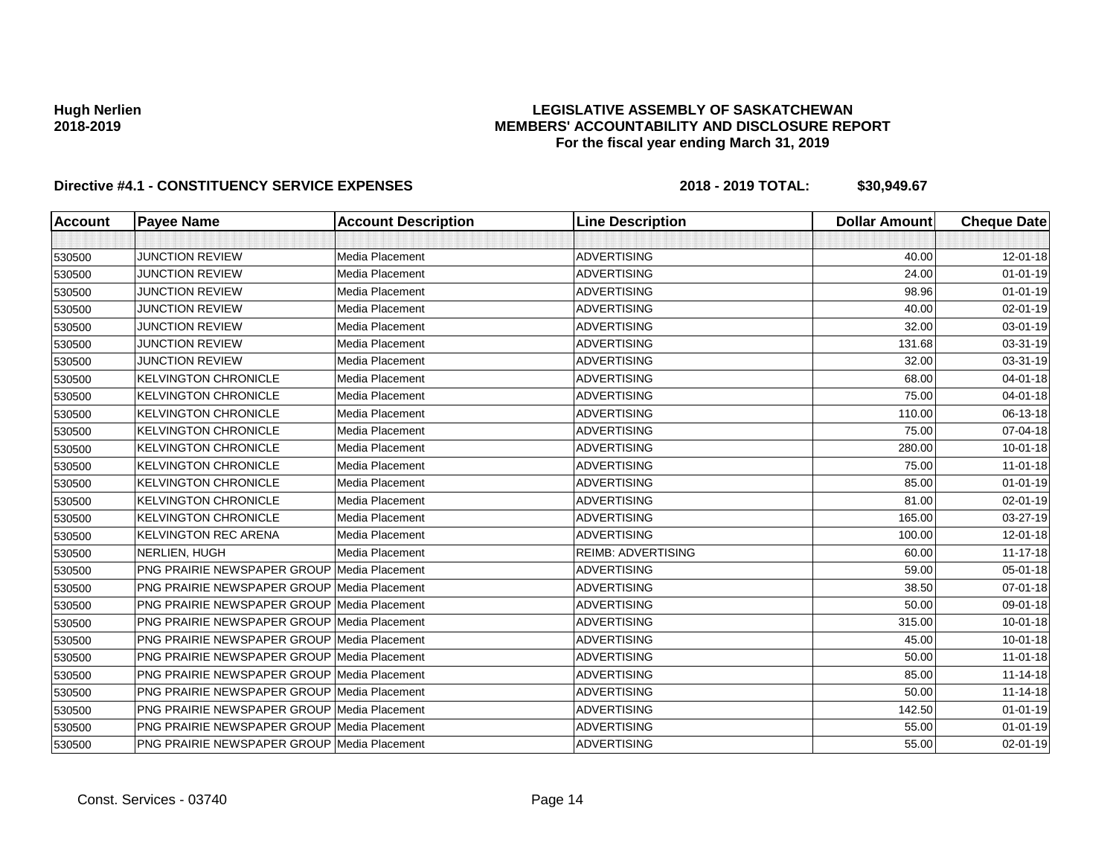### **LEGISLATIVE ASSEMBLY OF SASKATCHEWAN MEMBERS' ACCOUNTABILITY AND DISCLOSURE REPORT For the fiscal year ending March 31, 2019**

| <b>Account</b> | <b>Payee Name</b>                                  | <b>Account Description</b> | <b>Line Description</b>   | <b>Dollar Amount</b> | <b>Cheque Date</b> |
|----------------|----------------------------------------------------|----------------------------|---------------------------|----------------------|--------------------|
|                |                                                    |                            |                           |                      |                    |
| 530500         | <b>JUNCTION REVIEW</b>                             | Media Placement            | <b>ADVERTISING</b>        | 40.00                | 12-01-18           |
| 530500         | <b>JUNCTION REVIEW</b>                             | Media Placement            | <b>ADVERTISING</b>        | 24.00                | $01 - 01 - 19$     |
| 530500         | <b>JUNCTION REVIEW</b>                             | Media Placement            | <b>ADVERTISING</b>        | 98.96                | $01 - 01 - 19$     |
| 530500         | <b>JUNCTION REVIEW</b>                             | Media Placement            | <b>ADVERTISING</b>        | 40.00                | 02-01-19           |
| 530500         | <b>JUNCTION REVIEW</b>                             | Media Placement            | <b>ADVERTISING</b>        | 32.00                | 03-01-19           |
| 530500         | <b>JUNCTION REVIEW</b>                             | Media Placement            | <b>ADVERTISING</b>        | 131.68               | 03-31-19           |
| 530500         | <b>JUNCTION REVIEW</b>                             | Media Placement            | <b>ADVERTISING</b>        | 32.00                | 03-31-19           |
| 530500         | <b>KELVINGTON CHRONICLE</b>                        | Media Placement            | <b>ADVERTISING</b>        | 68.00                | 04-01-18           |
| 530500         | <b>KELVINGTON CHRONICLE</b>                        | Media Placement            | <b>ADVERTISING</b>        | 75.00                | 04-01-18           |
| 530500         | <b>KELVINGTON CHRONICLE</b>                        | Media Placement            | <b>ADVERTISING</b>        | 110.00               | 06-13-18           |
| 530500         | <b>KELVINGTON CHRONICLE</b>                        | Media Placement            | <b>ADVERTISING</b>        | 75.00                | 07-04-18           |
| 530500         | <b>KELVINGTON CHRONICLE</b>                        | Media Placement            | <b>ADVERTISING</b>        | 280.00               | $10 - 01 - 18$     |
| 530500         | <b>KELVINGTON CHRONICLE</b>                        | Media Placement            | <b>ADVERTISING</b>        | 75.00                | $11-01-18$         |
| 530500         | <b>KELVINGTON CHRONICLE</b>                        | Media Placement            | <b>ADVERTISING</b>        | 85.00                | $01 - 01 - 19$     |
| 530500         | <b>KELVINGTON CHRONICLE</b>                        | Media Placement            | <b>ADVERTISING</b>        | 81.00                | 02-01-19           |
| 530500         | <b>KELVINGTON CHRONICLE</b>                        | Media Placement            | <b>ADVERTISING</b>        | 165.00               | 03-27-19           |
| 530500         | <b>KELVINGTON REC ARENA</b>                        | Media Placement            | <b>ADVERTISING</b>        | 100.00               | 12-01-18           |
| 530500         | NERLIEN, HUGH                                      | Media Placement            | <b>REIMB: ADVERTISING</b> | 60.00                | $11 - 17 - 18$     |
| 530500         | <b>PNG PRAIRIE NEWSPAPER GROUP Media Placement</b> |                            | <b>ADVERTISING</b>        | 59.00                | 05-01-18           |
| 530500         | <b>PNG PRAIRIE NEWSPAPER GROUP Media Placement</b> |                            | <b>ADVERTISING</b>        | 38.50                | 07-01-18           |
| 530500         | <b>PNG PRAIRIE NEWSPAPER GROUP Media Placement</b> |                            | <b>ADVERTISING</b>        | 50.00                | 09-01-18           |
| 530500         | <b>PNG PRAIRIE NEWSPAPER GROUP Media Placement</b> |                            | <b>ADVERTISING</b>        | 315.00               | $10 - 01 - 18$     |
| 530500         | <b>PNG PRAIRIE NEWSPAPER GROUP Media Placement</b> |                            | <b>ADVERTISING</b>        | 45.00                | $10 - 01 - 18$     |
| 530500         | <b>PNG PRAIRIE NEWSPAPER GROUP Media Placement</b> |                            | <b>ADVERTISING</b>        | 50.00                | $11 - 01 - 18$     |
| 530500         | <b>PNG PRAIRIE NEWSPAPER GROUP Media Placement</b> |                            | <b>ADVERTISING</b>        | 85.00                | $11 - 14 - 18$     |
| 530500         | <b>PNG PRAIRIE NEWSPAPER GROUP Media Placement</b> |                            | <b>ADVERTISING</b>        | 50.00                | $11 - 14 - 18$     |
| 530500         | <b>PNG PRAIRIE NEWSPAPER GROUP Media Placement</b> |                            | <b>ADVERTISING</b>        | 142.50               | $01 - 01 - 19$     |
| 530500         | <b>PNG PRAIRIE NEWSPAPER GROUP Media Placement</b> |                            | <b>ADVERTISING</b>        | 55.00                | $01 - 01 - 19$     |
| 530500         | PNG PRAIRIE NEWSPAPER GROUP Media Placement        |                            | <b>ADVERTISING</b>        | 55.00                | 02-01-19           |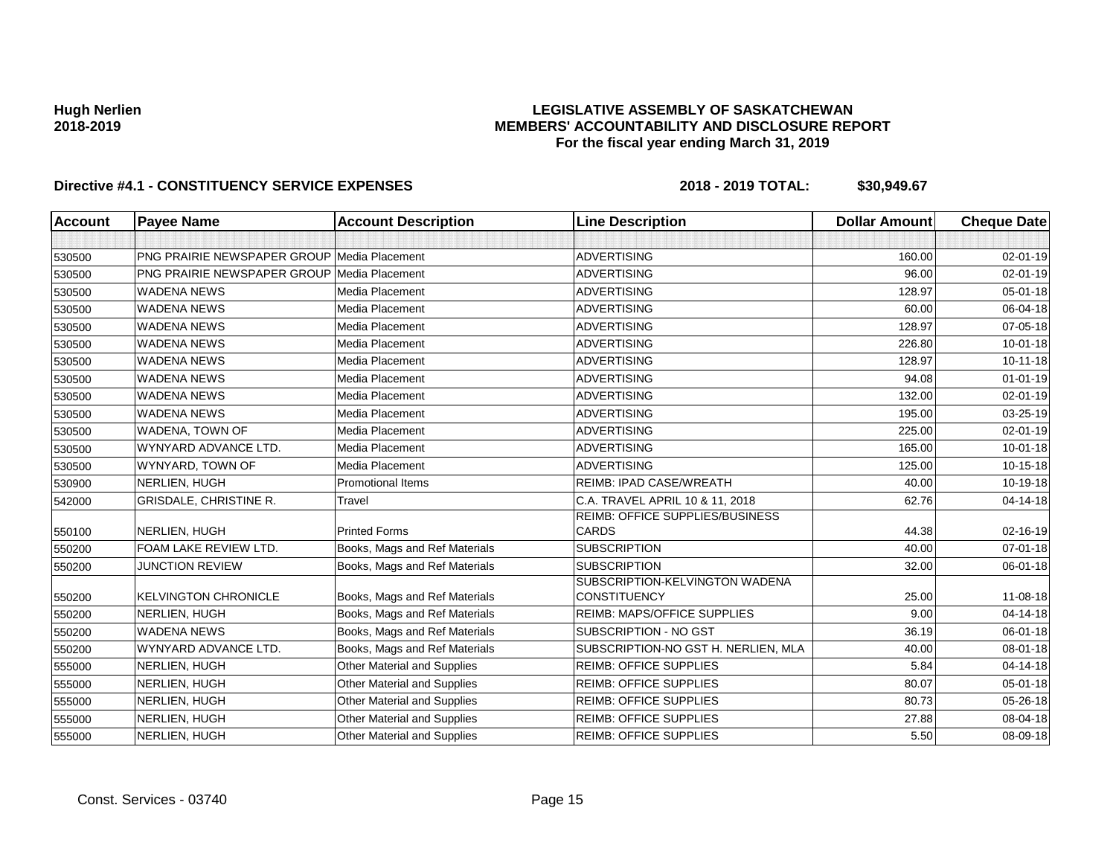### **LEGISLATIVE ASSEMBLY OF SASKATCHEWAN MEMBERS' ACCOUNTABILITY AND DISCLOSURE REPORT For the fiscal year ending March 31, 2019**

| <b>Account</b> | <b>Payee Name</b>                                  | <b>Account Description</b>    | <b>Line Description</b>                               | <b>Dollar Amount</b> | <b>Cheque Date</b> |
|----------------|----------------------------------------------------|-------------------------------|-------------------------------------------------------|----------------------|--------------------|
|                |                                                    |                               |                                                       |                      |                    |
| 530500         | <b>PNG PRAIRIE NEWSPAPER GROUP Media Placement</b> |                               | <b>ADVERTISING</b>                                    | 160.00               | $02 - 01 - 19$     |
| 530500         | <b>PNG PRAIRIE NEWSPAPER GROUP Media Placement</b> |                               | <b>ADVERTISING</b>                                    | 96.00                | 02-01-19           |
| 530500         | <b>WADENA NEWS</b>                                 | Media Placement               | <b>ADVERTISING</b>                                    | 128.97               | $05 - 01 - 18$     |
| 530500         | <b>WADENA NEWS</b>                                 | Media Placement               | <b>ADVERTISING</b>                                    | 60.00                | 06-04-18           |
| 530500         | <b>WADENA NEWS</b>                                 | Media Placement               | <b>ADVERTISING</b>                                    | 128.97               | 07-05-18           |
| 530500         | <b>WADENA NEWS</b>                                 | Media Placement               | <b>ADVERTISING</b>                                    | 226.80               | $10 - 01 - 18$     |
| 530500         | <b>WADENA NEWS</b>                                 | Media Placement               | <b>ADVERTISING</b>                                    | 128.97               | $10 - 11 - 18$     |
| 530500         | <b>WADENA NEWS</b>                                 | Media Placement               | <b>ADVERTISING</b>                                    | 94.08                | $01 - 01 - 19$     |
| 530500         | <b>WADENA NEWS</b>                                 | Media Placement               | <b>ADVERTISING</b>                                    | 132.00               | $02 - 01 - 19$     |
| 530500         | <b>WADENA NEWS</b>                                 | Media Placement               | <b>ADVERTISING</b>                                    | 195.00               | 03-25-19           |
| 530500         | WADENA, TOWN OF                                    | Media Placement               | <b>ADVERTISING</b>                                    | 225.00               | $02 - 01 - 19$     |
| 530500         | WYNYARD ADVANCE LTD.                               | Media Placement               | <b>ADVERTISING</b>                                    | 165.00               | $10 - 01 - 18$     |
| 530500         | WYNYARD, TOWN OF                                   | Media Placement               | <b>ADVERTISING</b>                                    | 125.00               | 10-15-18           |
| 530900         | NERLIEN, HUGH                                      | <b>Promotional Items</b>      | REIMB: IPAD CASE/WREATH                               | 40.00                | 10-19-18           |
| 542000         | GRISDALE, CHRISTINE R.                             | Travel                        | C.A. TRAVEL APRIL 10 & 11, 2018                       | 62.76                | 04-14-18           |
| 550100         | NERLIEN, HUGH                                      | <b>Printed Forms</b>          | REIMB: OFFICE SUPPLIES/BUSINESS<br><b>CARDS</b>       | 44.38                | 02-16-19           |
| 550200         | FOAM LAKE REVIEW LTD.                              | Books, Mags and Ref Materials | <b>SUBSCRIPTION</b>                                   | 40.00                | 07-01-18           |
| 550200         | <b>JUNCTION REVIEW</b>                             | Books, Mags and Ref Materials | <b>SUBSCRIPTION</b>                                   | 32.00                | 06-01-18           |
| 550200         | <b>KELVINGTON CHRONICLE</b>                        | Books, Mags and Ref Materials | SUBSCRIPTION-KELVINGTON WADENA<br><b>CONSTITUENCY</b> | 25.00                | $11 - 08 - 18$     |
| 550200         | NERLIEN, HUGH                                      | Books, Mags and Ref Materials | <b>REIMB: MAPS/OFFICE SUPPLIES</b>                    | 9.00                 | $04 - 14 - 18$     |
| 550200         | <b>WADENA NEWS</b>                                 | Books, Mags and Ref Materials | SUBSCRIPTION - NO GST                                 | 36.19                | 06-01-18           |
| 550200         | WYNYARD ADVANCE LTD.                               | Books, Mags and Ref Materials | SUBSCRIPTION-NO GST H. NERLIEN, MLA                   | 40.00                | 08-01-18           |
| 555000         | NERLIEN, HUGH                                      | Other Material and Supplies   | <b>REIMB: OFFICE SUPPLIES</b>                         | 5.84                 | 04-14-18           |
| 555000         | NERLIEN, HUGH                                      | Other Material and Supplies   | <b>REIMB: OFFICE SUPPLIES</b>                         | 80.07                | $05 - 01 - 18$     |
| 555000         | NERLIEN, HUGH                                      | Other Material and Supplies   | <b>REIMB: OFFICE SUPPLIES</b>                         | 80.73                | 05-26-18           |
| 555000         | NERLIEN, HUGH                                      | Other Material and Supplies   | <b>REIMB: OFFICE SUPPLIES</b>                         | 27.88                | 08-04-18           |
| 555000         | NERLIEN, HUGH                                      | Other Material and Supplies   | <b>REIMB: OFFICE SUPPLIES</b>                         | 5.50                 | 08-09-18           |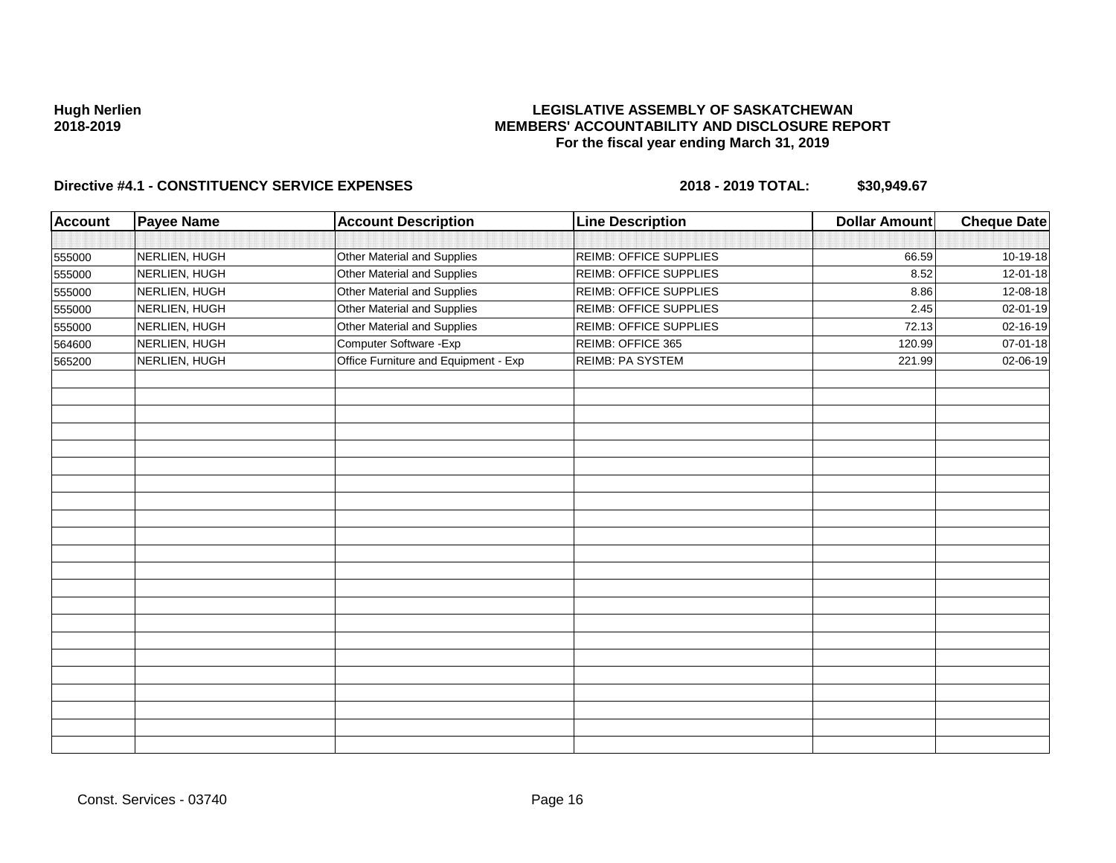### **LEGISLATIVE ASSEMBLY OF SASKATCHEWAN MEMBERS' ACCOUNTABILITY AND DISCLOSURE REPORT For the fiscal year ending March 31, 2019**

| <b>Account</b> | <b>Payee Name</b> | <b>Account Description</b>           | <b>Line Description</b> | <b>Dollar Amount</b> | <b>Cheque Date</b> |
|----------------|-------------------|--------------------------------------|-------------------------|----------------------|--------------------|
|                |                   |                                      |                         |                      |                    |
| 555000         | NERLIEN, HUGH     | Other Material and Supplies          | REIMB: OFFICE SUPPLIES  | 66.59                | 10-19-18           |
| 555000         | NERLIEN, HUGH     | Other Material and Supplies          | REIMB: OFFICE SUPPLIES  | 8.52                 | 12-01-18           |
| 555000         | NERLIEN, HUGH     | Other Material and Supplies          | REIMB: OFFICE SUPPLIES  | 8.86                 | 12-08-18           |
| 555000         | NERLIEN, HUGH     | Other Material and Supplies          | REIMB: OFFICE SUPPLIES  | 2.45                 | 02-01-19           |
| 555000         | NERLIEN, HUGH     | Other Material and Supplies          | REIMB: OFFICE SUPPLIES  | 72.13                | 02-16-19           |
| 564600         | NERLIEN, HUGH     | Computer Software - Exp              | REIMB: OFFICE 365       | 120.99               | 07-01-18           |
| 565200         | NERLIEN, HUGH     | Office Furniture and Equipment - Exp | REIMB: PA SYSTEM        | 221.99               | 02-06-19           |
|                |                   |                                      |                         |                      |                    |
|                |                   |                                      |                         |                      |                    |
|                |                   |                                      |                         |                      |                    |
|                |                   |                                      |                         |                      |                    |
|                |                   |                                      |                         |                      |                    |
|                |                   |                                      |                         |                      |                    |
|                |                   |                                      |                         |                      |                    |
|                |                   |                                      |                         |                      |                    |
|                |                   |                                      |                         |                      |                    |
|                |                   |                                      |                         |                      |                    |
|                |                   |                                      |                         |                      |                    |
|                |                   |                                      |                         |                      |                    |
|                |                   |                                      |                         |                      |                    |
|                |                   |                                      |                         |                      |                    |
|                |                   |                                      |                         |                      |                    |
|                |                   |                                      |                         |                      |                    |
|                |                   |                                      |                         |                      |                    |
|                |                   |                                      |                         |                      |                    |
|                |                   |                                      |                         |                      |                    |
|                |                   |                                      |                         |                      |                    |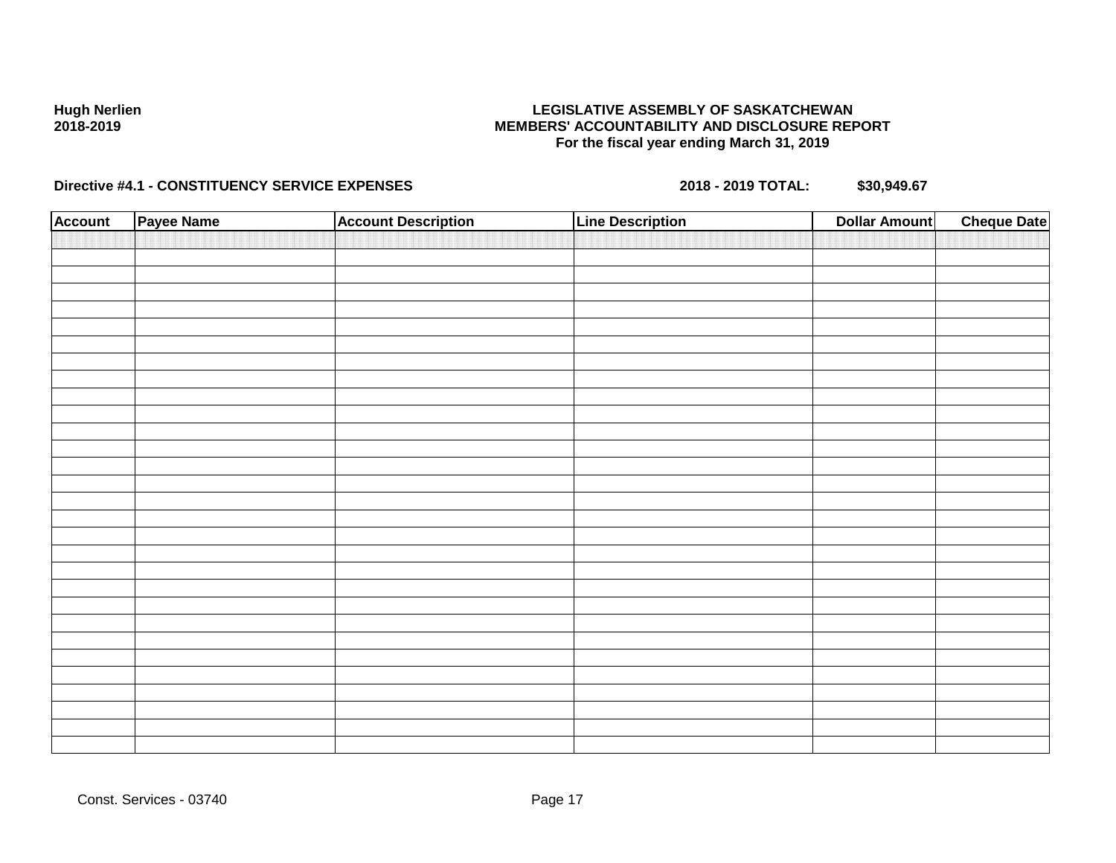### **LEGISLATIVE ASSEMBLY OF SASKATCHEWAN MEMBERS' ACCOUNTABILITY AND DISCLOSURE REPORT For the fiscal year ending March 31, 2019**

| <b>Account</b> | Payee Name | <b>Account Description</b> | <b>Line Description</b> | <b>Cheque Date</b><br><b>Dollar Amount</b> |
|----------------|------------|----------------------------|-------------------------|--------------------------------------------|
|                |            |                            |                         |                                            |
|                |            |                            |                         |                                            |
|                |            |                            |                         |                                            |
|                |            |                            |                         |                                            |
|                |            |                            |                         |                                            |
|                |            |                            |                         |                                            |
|                |            |                            |                         |                                            |
|                |            |                            |                         |                                            |
|                |            |                            |                         |                                            |
|                |            |                            |                         |                                            |
|                |            |                            |                         |                                            |
|                |            |                            |                         |                                            |
|                |            |                            |                         |                                            |
|                |            |                            |                         |                                            |
|                |            |                            |                         |                                            |
|                |            |                            |                         |                                            |
|                |            |                            |                         |                                            |
|                |            |                            |                         |                                            |
|                |            |                            |                         |                                            |
|                |            |                            |                         |                                            |
|                |            |                            |                         |                                            |
|                |            |                            |                         |                                            |
|                |            |                            |                         |                                            |
|                |            |                            |                         |                                            |
|                |            |                            |                         |                                            |
|                |            |                            |                         |                                            |
|                |            |                            |                         |                                            |
|                |            |                            |                         |                                            |
|                |            |                            |                         |                                            |
|                |            |                            |                         |                                            |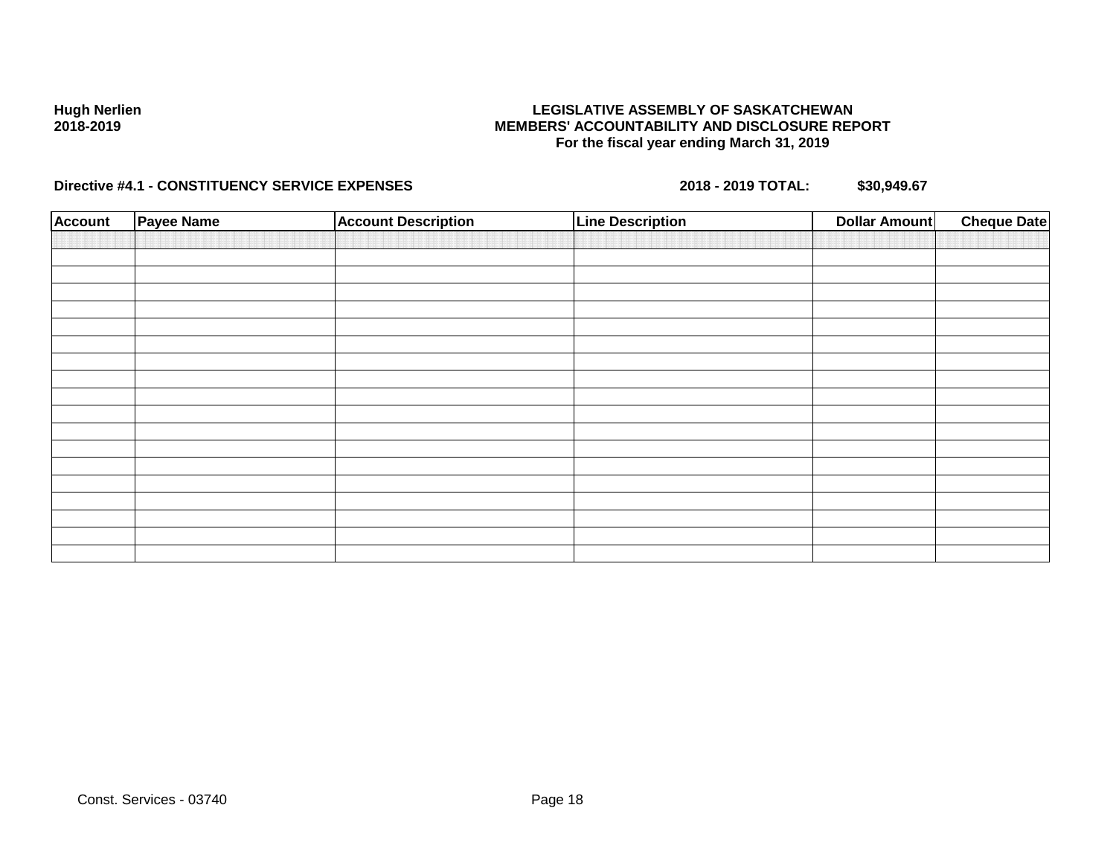### **LEGISLATIVE ASSEMBLY OF SASKATCHEWAN MEMBERS' ACCOUNTABILITY AND DISCLOSURE REPORT For the fiscal year ending March 31, 2019**

| <b>Account</b> | Payee Name | <b>Account Description</b> | <b>Line Description</b> | <b>Dollar Amount</b> | <b>Cheque Date</b> |
|----------------|------------|----------------------------|-------------------------|----------------------|--------------------|
|                |            |                            |                         |                      |                    |
|                |            |                            |                         |                      |                    |
|                |            |                            |                         |                      |                    |
|                |            |                            |                         |                      |                    |
|                |            |                            |                         |                      |                    |
|                |            |                            |                         |                      |                    |
|                |            |                            |                         |                      |                    |
|                |            |                            |                         |                      |                    |
|                |            |                            |                         |                      |                    |
|                |            |                            |                         |                      |                    |
|                |            |                            |                         |                      |                    |
|                |            |                            |                         |                      |                    |
|                |            |                            |                         |                      |                    |
|                |            |                            |                         |                      |                    |
|                |            |                            |                         |                      |                    |
|                |            |                            |                         |                      |                    |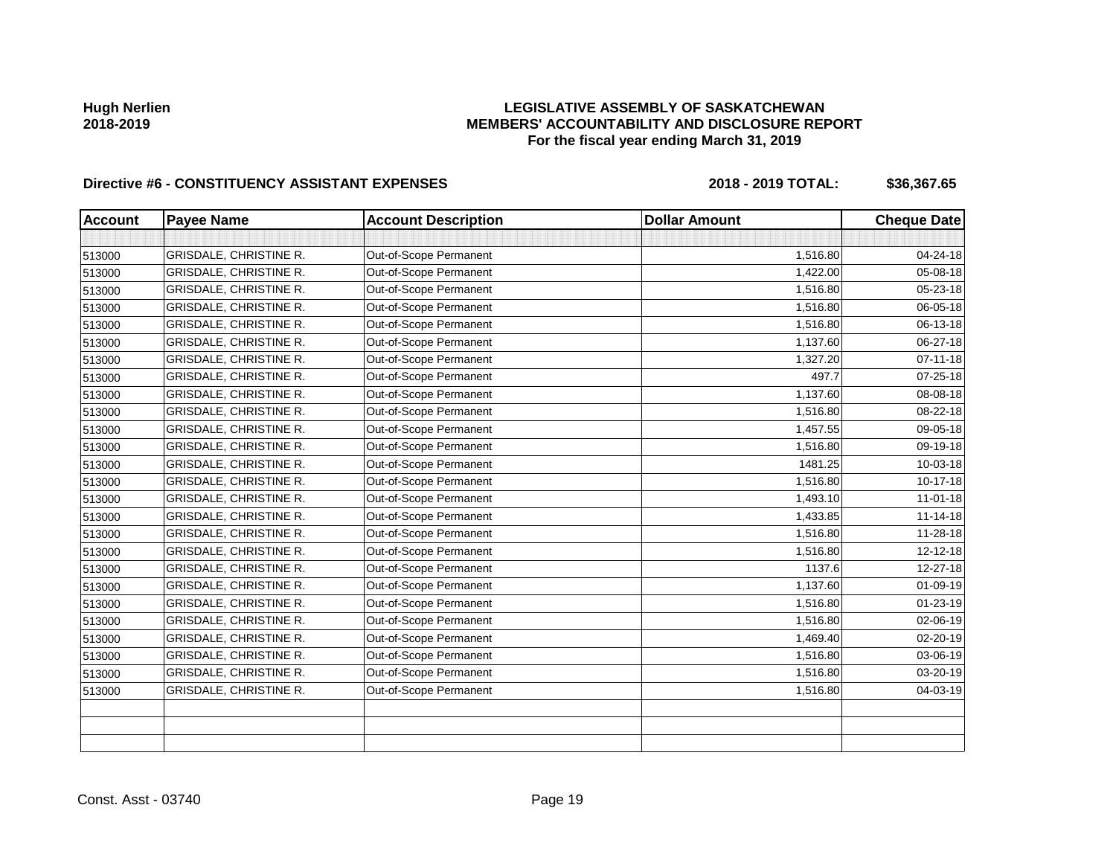### **LEGISLATIVE ASSEMBLY OF SASKATCHEWAN MEMBERS' ACCOUNTABILITY AND DISCLOSURE REPORT For the fiscal year ending March 31, 2019**

| <b>Account</b> | <b>Payee Name</b>             | <b>Account Description</b> | <b>Dollar Amount</b> | <b>Cheque Date</b> |
|----------------|-------------------------------|----------------------------|----------------------|--------------------|
|                |                               |                            |                      |                    |
| 513000         | <b>GRISDALE, CHRISTINE R.</b> | Out-of-Scope Permanent     | 1,516.80             | 04-24-18           |
| 513000         | GRISDALE, CHRISTINE R.        | Out-of-Scope Permanent     | 1,422.00             | 05-08-18           |
| 513000         | <b>GRISDALE, CHRISTINE R.</b> | Out-of-Scope Permanent     | 1,516.80             | 05-23-18           |
| 513000         | GRISDALE, CHRISTINE R.        | Out-of-Scope Permanent     | 1,516.80             | 06-05-18           |
| 513000         | GRISDALE, CHRISTINE R.        | Out-of-Scope Permanent     | 1,516.80             | 06-13-18           |
| 513000         | GRISDALE, CHRISTINE R.        | Out-of-Scope Permanent     | 1,137.60             | 06-27-18           |
| 513000         | <b>GRISDALE, CHRISTINE R.</b> | Out-of-Scope Permanent     | 1,327.20             | $07 - 11 - 18$     |
| 513000         | <b>GRISDALE, CHRISTINE R.</b> | Out-of-Scope Permanent     | 497.7                | 07-25-18           |
| 513000         | GRISDALE, CHRISTINE R.        | Out-of-Scope Permanent     | 1,137.60             | 08-08-18           |
| 513000         | <b>GRISDALE, CHRISTINE R.</b> | Out-of-Scope Permanent     | 1,516.80             | 08-22-18           |
| 513000         | <b>GRISDALE, CHRISTINE R.</b> | Out-of-Scope Permanent     | 1,457.55             | 09-05-18           |
| 513000         | <b>GRISDALE, CHRISTINE R.</b> | Out-of-Scope Permanent     | 1,516.80             | 09-19-18           |
| 513000         | GRISDALE, CHRISTINE R.        | Out-of-Scope Permanent     | 1481.25              | 10-03-18           |
| 513000         | GRISDALE, CHRISTINE R.        | Out-of-Scope Permanent     | 1,516.80             | $10-17-18$         |
| 513000         | GRISDALE, CHRISTINE R.        | Out-of-Scope Permanent     | 1,493.10             | $11 - 01 - 18$     |
| 513000         | <b>GRISDALE, CHRISTINE R.</b> | Out-of-Scope Permanent     | 1,433.85             | $11 - 14 - 18$     |
| 513000         | GRISDALE, CHRISTINE R.        | Out-of-Scope Permanent     | 1,516.80             | 11-28-18           |
| 513000         | <b>GRISDALE, CHRISTINE R.</b> | Out-of-Scope Permanent     | 1,516.80             | $12 - 12 - 18$     |
| 513000         | GRISDALE, CHRISTINE R.        | Out-of-Scope Permanent     | 1137.6               | 12-27-18           |
| 513000         | GRISDALE, CHRISTINE R.        | Out-of-Scope Permanent     | 1,137.60             | $01 - 09 - 19$     |
| 513000         | <b>GRISDALE, CHRISTINE R.</b> | Out-of-Scope Permanent     | 1,516.80             | 01-23-19           |
| 513000         | <b>GRISDALE, CHRISTINE R.</b> | Out-of-Scope Permanent     | 1,516.80             | 02-06-19           |
| 513000         | <b>GRISDALE, CHRISTINE R.</b> | Out-of-Scope Permanent     | 1,469.40             | $02 - 20 - 19$     |
| 513000         | <b>GRISDALE, CHRISTINE R.</b> | Out-of-Scope Permanent     | 1,516.80             | 03-06-19           |
| 513000         | GRISDALE, CHRISTINE R.        | Out-of-Scope Permanent     | 1,516.80             | 03-20-19           |
| 513000         | GRISDALE, CHRISTINE R.        | Out-of-Scope Permanent     | 1,516.80             | 04-03-19           |
|                |                               |                            |                      |                    |
|                |                               |                            |                      |                    |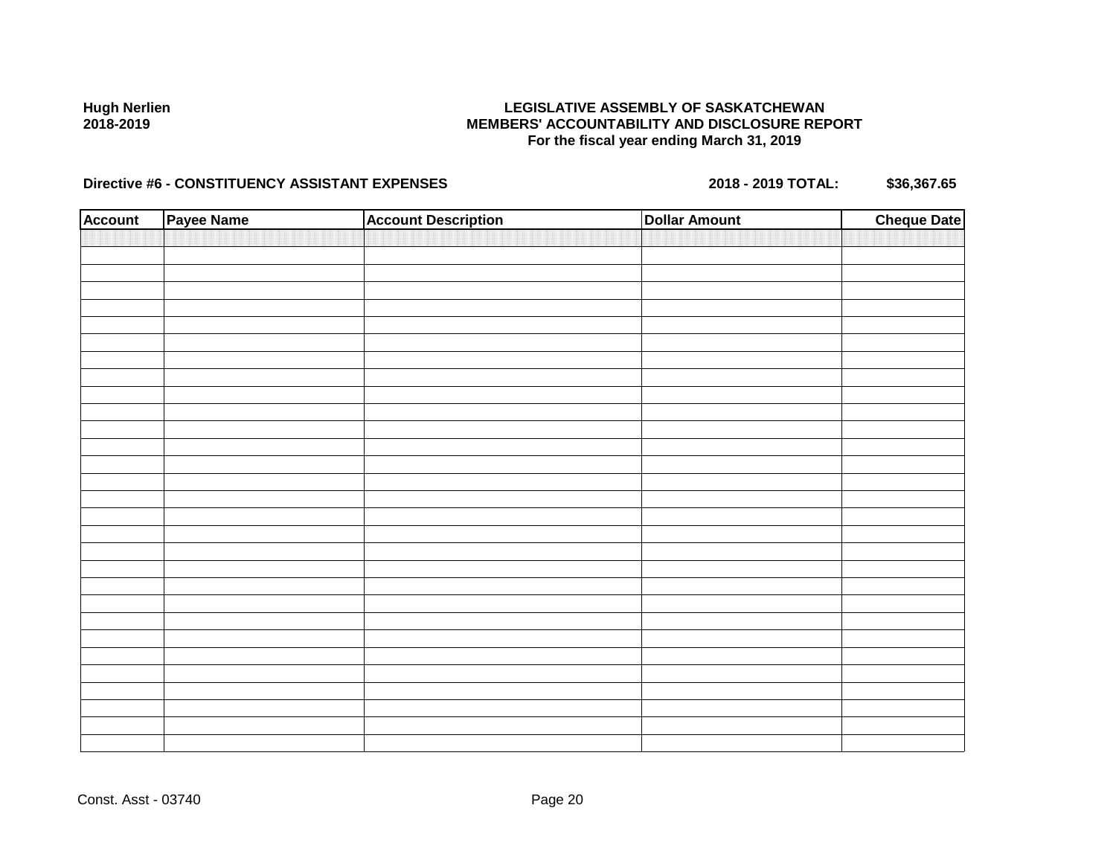### **LEGISLATIVE ASSEMBLY OF SASKATCHEWAN MEMBERS' ACCOUNTABILITY AND DISCLOSURE REPORT For the fiscal year ending March 31, 2019**

| <b>Account</b> | Payee Name | <b>Account Description</b> | <b>Dollar Amount</b> | <b>Cheque Date</b> |
|----------------|------------|----------------------------|----------------------|--------------------|
|                |            |                            |                      |                    |
|                |            |                            |                      |                    |
|                |            |                            |                      |                    |
|                |            |                            |                      |                    |
|                |            |                            |                      |                    |
|                |            |                            |                      |                    |
|                |            |                            |                      |                    |
|                |            |                            |                      |                    |
|                |            |                            |                      |                    |
|                |            |                            |                      |                    |
|                |            |                            |                      |                    |
|                |            |                            |                      |                    |
|                |            |                            |                      |                    |
|                |            |                            |                      |                    |
|                |            |                            |                      |                    |
|                |            |                            |                      |                    |
|                |            |                            |                      |                    |
|                |            |                            |                      |                    |
|                |            |                            |                      |                    |
|                |            |                            |                      |                    |
|                |            |                            |                      |                    |
|                |            |                            |                      |                    |
|                |            |                            |                      |                    |
|                |            |                            |                      |                    |
|                |            |                            |                      |                    |
|                |            |                            |                      |                    |
|                |            |                            |                      |                    |
|                |            |                            |                      |                    |
|                |            |                            |                      |                    |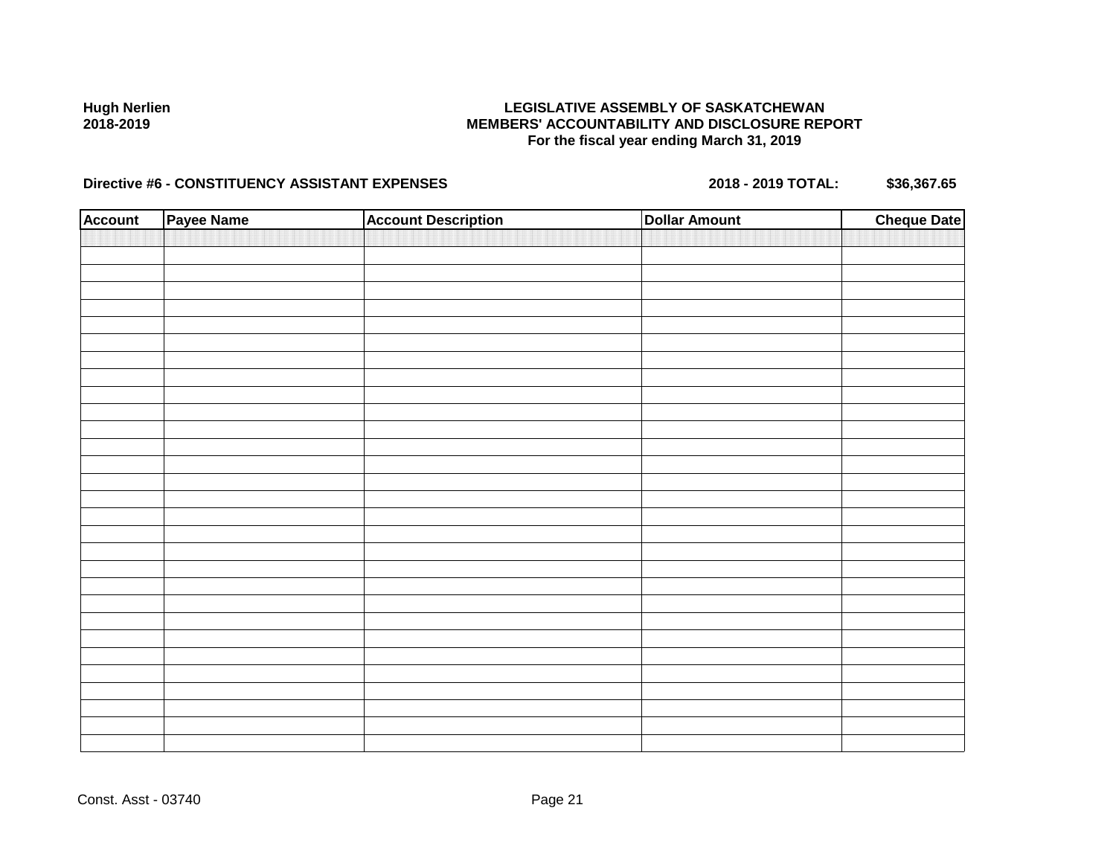### **LEGISLATIVE ASSEMBLY OF SASKATCHEWAN MEMBERS' ACCOUNTABILITY AND DISCLOSURE REPORT For the fiscal year ending March 31, 2019**

| <b>Account</b> | Payee Name | <b>Account Description</b> | <b>Dollar Amount</b> | <b>Cheque Date</b> |
|----------------|------------|----------------------------|----------------------|--------------------|
|                |            |                            |                      |                    |
|                |            |                            |                      |                    |
|                |            |                            |                      |                    |
|                |            |                            |                      |                    |
|                |            |                            |                      |                    |
|                |            |                            |                      |                    |
|                |            |                            |                      |                    |
|                |            |                            |                      |                    |
|                |            |                            |                      |                    |
|                |            |                            |                      |                    |
|                |            |                            |                      |                    |
|                |            |                            |                      |                    |
|                |            |                            |                      |                    |
|                |            |                            |                      |                    |
|                |            |                            |                      |                    |
|                |            |                            |                      |                    |
|                |            |                            |                      |                    |
|                |            |                            |                      |                    |
|                |            |                            |                      |                    |
|                |            |                            |                      |                    |
|                |            |                            |                      |                    |
|                |            |                            |                      |                    |
|                |            |                            |                      |                    |
|                |            |                            |                      |                    |
|                |            |                            |                      |                    |
|                |            |                            |                      |                    |
|                |            |                            |                      |                    |
|                |            |                            |                      |                    |
|                |            |                            |                      |                    |